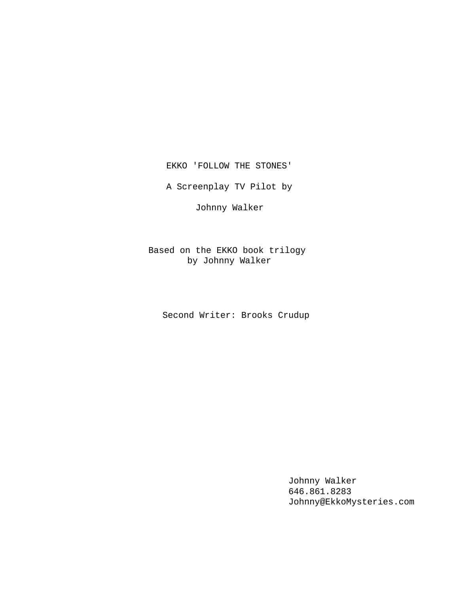EKKO 'FOLLOW THE STONES'

A Screenplay TV Pilot by

Johnny Walker

Based on the EKKO book trilogy by Johnny Walker

Second Writer: Brooks Crudup

Johnny Walker 646.861.8283 Johnny@EkkoMysteries.com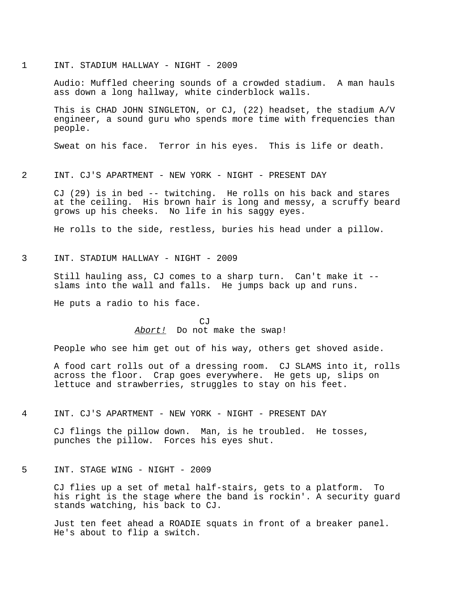#### 1 INT. STADIUM HALLWAY - NIGHT - 2009

Audio: Muffled cheering sounds of a crowded stadium. A man hauls ass down a long hallway, white cinderblock walls.

This is CHAD JOHN SINGLETON, or CJ, (22) headset, the stadium A/V engineer, a sound guru who spends more time with frequencies than people.

Sweat on his face. Terror in his eyes. This is life or death.

### 2 INT. CJ'S APARTMENT - NEW YORK - NIGHT - PRESENT DAY

CJ (29) is in bed -- twitching. He rolls on his back and stares at the ceiling. His brown hair is long and messy, a scruffy beard grows up his cheeks. No life in his saggy eyes.

He rolls to the side, restless, buries his head under a pillow.

3 INT. STADIUM HALLWAY - NIGHT - 2009

Still hauling ass, CJ comes to a sharp turn. Can't make it - slams into the wall and falls. He jumps back up and runs.

He puts a radio to his face.

CJ Abort! Do not make the swap!

People who see him get out of his way, others get shoved aside.

A food cart rolls out of a dressing room. CJ SLAMS into it, rolls across the floor. Crap goes everywhere. He gets up, slips on lettuce and strawberries, struggles to stay on his feet.

### 4 INT. CJ'S APARTMENT - NEW YORK - NIGHT - PRESENT DAY

CJ flings the pillow down. Man, is he troubled. He tosses, punches the pillow. Forces his eyes shut.

## 5 INT. STAGE WING - NIGHT - 2009

CJ flies up a set of metal half-stairs, gets to a platform. To his right is the stage where the band is rockin'. A security guard stands watching, his back to CJ.

Just ten feet ahead a ROADIE squats in front of a breaker panel. He's about to flip a switch.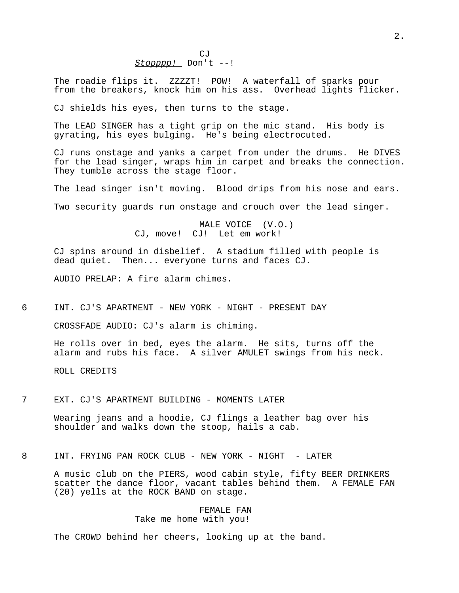The roadie flips it. ZZZZT! POW! A waterfall of sparks pour from the breakers, knock him on his ass. Overhead lights flicker.

CJ shields his eyes, then turns to the stage.

The LEAD SINGER has a tight grip on the mic stand. His body is gyrating, his eyes bulging. He's being electrocuted.

CJ runs onstage and yanks a carpet from under the drums. He DIVES for the lead singer, wraps him in carpet and breaks the connection. They tumble across the stage floor.

The lead singer isn't moving. Blood drips from his nose and ears.

Two security guards run onstage and crouch over the lead singer.

MALE VOICE (V.O.) CJ, move! CJ! Let em work!

CJ spins around in disbelief. A stadium filled with people is dead quiet. Then... everyone turns and faces CJ.

AUDIO PRELAP: A fire alarm chimes.

6 INT. CJ'S APARTMENT - NEW YORK - NIGHT - PRESENT DAY

CROSSFADE AUDIO: CJ's alarm is chiming.

He rolls over in bed, eyes the alarm. He sits, turns off the alarm and rubs his face. A silver AMULET swings from his neck.

ROLL CREDITS

7 EXT. CJ'S APARTMENT BUILDING - MOMENTS LATER

Wearing jeans and a hoodie, CJ flings a leather bag over his shoulder and walks down the stoop, hails a cab.

8 INT. FRYING PAN ROCK CLUB - NEW YORK - NIGHT - LATER

A music club on the PIERS, wood cabin style, fifty BEER DRINKERS scatter the dance floor, vacant tables behind them. A FEMALE FAN (20) yells at the ROCK BAND on stage.

### FEMALE FAN

Take me home with you!

The CROWD behind her cheers, looking up at the band.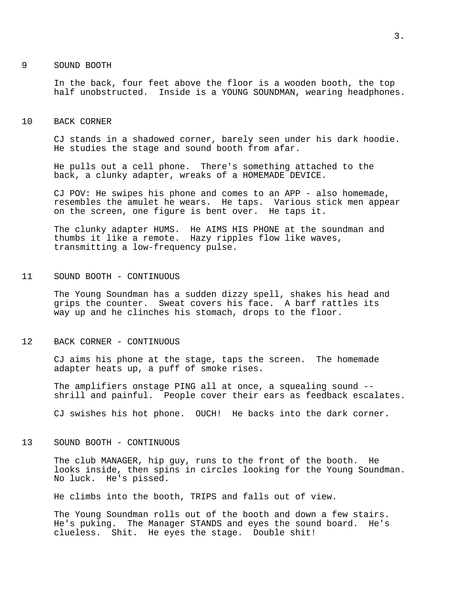#### 9 SOUND BOOTH

In the back, four feet above the floor is a wooden booth, the top half unobstructed. Inside is a YOUNG SOUNDMAN, wearing headphones.

### 10 BACK CORNER

CJ stands in a shadowed corner, barely seen under his dark hoodie. He studies the stage and sound booth from afar.

He pulls out a cell phone. There's something attached to the back, a clunky adapter, wreaks of a HOMEMADE DEVICE.

CJ POV: He swipes his phone and comes to an APP - also homemade, resembles the amulet he wears. He taps. Various stick men appear on the screen, one figure is bent over. He taps it.

The clunky adapter HUMS. He AIMS HIS PHONE at the soundman and thumbs it like a remote. Hazy ripples flow like waves, transmitting a low-frequency pulse.

## 11 SOUND BOOTH - CONTINUOUS

The Young Soundman has a sudden dizzy spell, shakes his head and grips the counter. Sweat covers his face. A barf rattles its way up and he clinches his stomach, drops to the floor.

### 12 BACK CORNER - CONTINUOUS

CJ aims his phone at the stage, taps the screen. The homemade adapter heats up, a puff of smoke rises.

The amplifiers onstage PING all at once, a squealing sound - shrill and painful. People cover their ears as feedback escalates.

CJ swishes his hot phone. OUCH! He backs into the dark corner.

### 13 SOUND BOOTH - CONTINUOUS

The club MANAGER, hip guy, runs to the front of the booth. He looks inside, then spins in circles looking for the Young Soundman. No luck. He's pissed.

He climbs into the booth, TRIPS and falls out of view.

The Young Soundman rolls out of the booth and down a few stairs. He's puking. The Manager STANDS and eyes the sound board. He's clueless. Shit. He eyes the stage. Double shit!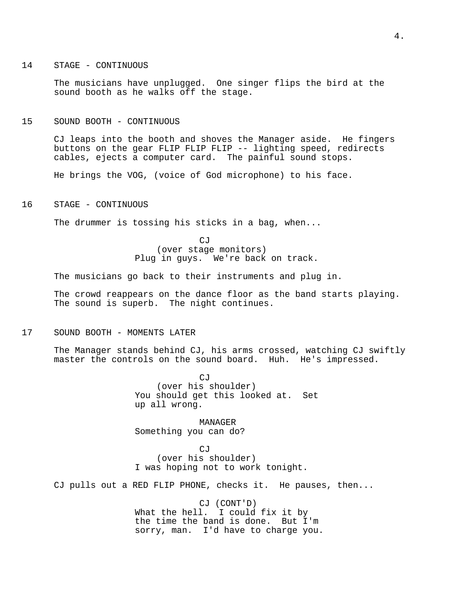### 14 STAGE - CONTINUOUS

The musicians have unplugged. One singer flips the bird at the sound booth as he walks off the stage.

#### 15 SOUND BOOTH - CONTINUOUS

CJ leaps into the booth and shoves the Manager aside. He fingers buttons on the gear FLIP FLIP FLIP -- lighting speed, redirects cables, ejects a computer card. The painful sound stops.

He brings the VOG, (voice of God microphone) to his face.

### 16 STAGE - CONTINUOUS

The drummer is tossing his sticks in a bag, when...

CJ (over stage monitors) Plug in guys. We're back on track.

The musicians go back to their instruments and plug in.

The crowd reappears on the dance floor as the band starts playing. The sound is superb. The night continues.

### 17 SOUND BOOTH - MOMENTS LATER

The Manager stands behind CJ, his arms crossed, watching CJ swiftly master the controls on the sound board. Huh. He's impressed.

> $C.T$ (over his shoulder) You should get this looked at. Set up all wrong.

MANAGER Something you can do?

CJ (over his shoulder) I was hoping not to work tonight.

CJ pulls out a RED FLIP PHONE, checks it. He pauses, then...

CJ (CONT'D) What the hell. I could fix it by the time the band is done. But I'm sorry, man. I'd have to charge you.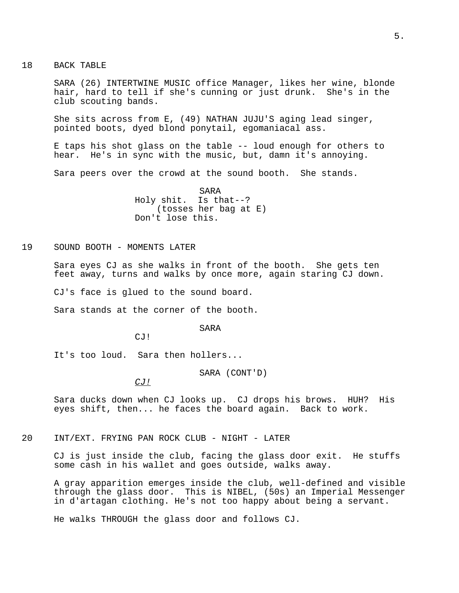18 BACK TABLE

SARA (26) INTERTWINE MUSIC office Manager, likes her wine, blonde hair, hard to tell if she's cunning or just drunk. She's in the club scouting bands.

She sits across from E, (49) NATHAN JUJU'S aging lead singer, pointed boots, dyed blond ponytail, egomaniacal ass.

E taps his shot glass on the table -- loud enough for others to hear. He's in sync with the music, but, damn it's annoying.

Sara peers over the crowd at the sound booth. She stands.

SARA Holy shit. Is that--? (tosses her bag at E) Don't lose this.

19 SOUND BOOTH - MOMENTS LATER

Sara eyes CJ as she walks in front of the booth. She gets ten feet away, turns and walks by once more, again staring CJ down.

CJ's face is glued to the sound board.

Sara stands at the corner of the booth.

SARA

CJ!

It's too loud. Sara then hollers...

SARA (CONT'D)

CJ!

Sara ducks down when CJ looks up. CJ drops his brows. HUH? His eyes shift, then... he faces the board again. Back to work.

20 INT/EXT. FRYING PAN ROCK CLUB - NIGHT - LATER

CJ is just inside the club, facing the glass door exit. He stuffs some cash in his wallet and goes outside, walks away.

A gray apparition emerges inside the club, well-defined and visible through the glass door. This is NIBEL, (50s) an Imperial Messenger in d'artagan clothing. He's not too happy about being a servant.

He walks THROUGH the glass door and follows CJ.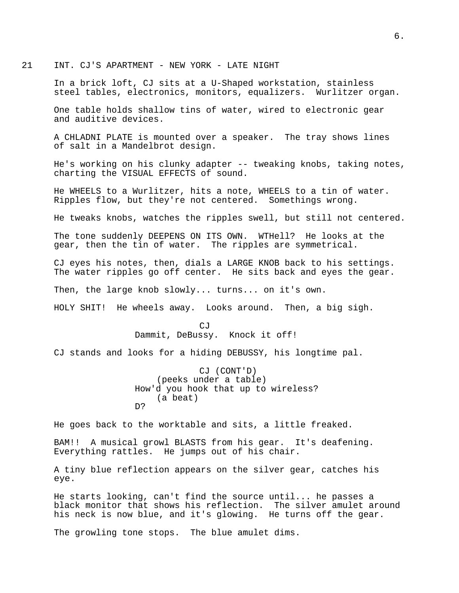21 INT. CJ'S APARTMENT - NEW YORK - LATE NIGHT

In a brick loft, CJ sits at a U-Shaped workstation, stainless steel tables, electronics, monitors, equalizers. Wurlitzer organ.

One table holds shallow tins of water, wired to electronic gear and auditive devices.

A CHLADNI PLATE is mounted over a speaker. The tray shows lines of salt in a Mandelbrot design.

He's working on his clunky adapter -- tweaking knobs, taking notes, charting the VISUAL EFFECTS of sound.

He WHEELS to a Wurlitzer, hits a note, WHEELS to a tin of water. Ripples flow, but they're not centered. Somethings wrong.

He tweaks knobs, watches the ripples swell, but still not centered.

The tone suddenly DEEPENS ON ITS OWN. WTHell? He looks at the gear, then the tin of water. The ripples are symmetrical.

CJ eyes his notes, then, dials a LARGE KNOB back to his settings. The water ripples go off center. He sits back and eyes the gear.

Then, the large knob slowly... turns... on it's own.

HOLY SHIT! He wheels away. Looks around. Then, a big sigh.

CJ Dammit, DeBussy. Knock it off!

CJ stands and looks for a hiding DEBUSSY, his longtime pal.

CJ (CONT'D) (peeks under a table) How'd you hook that up to wireless? (a beat) D?

He goes back to the worktable and sits, a little freaked.

BAM!! A musical growl BLASTS from his gear. It's deafening. Everything rattles. He jumps out of his chair.

A tiny blue reflection appears on the silver gear, catches his eye.

He starts looking, can't find the source until... he passes a black monitor that shows his reflection. The silver amulet around his neck is now blue, and it's glowing. He turns off the gear.

The growling tone stops. The blue amulet dims.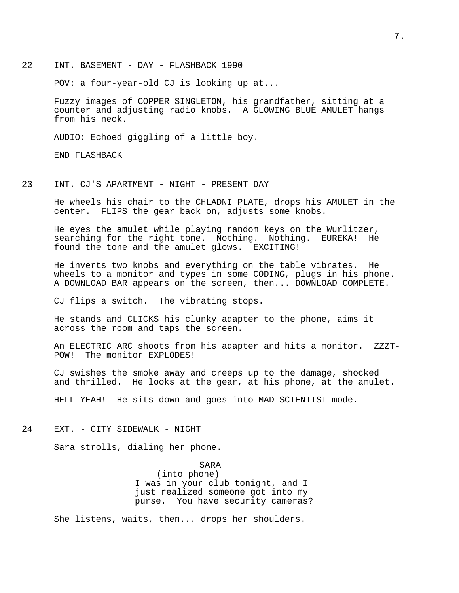22 INT. BASEMENT - DAY - FLASHBACK 1990

POV: a four-year-old CJ is looking up at...

Fuzzy images of COPPER SINGLETON, his grandfather, sitting at a counter and adjusting radio knobs. A GLOWING BLUE AMULET hangs from his neck.

AUDIO: Echoed giggling of a little boy.

END FLASHBACK

### 23 INT. CJ'S APARTMENT - NIGHT - PRESENT DAY

He wheels his chair to the CHLADNI PLATE, drops his AMULET in the center. FLIPS the gear back on, adjusts some knobs.

He eyes the amulet while playing random keys on the Wurlitzer, searching for the right tone. Nothing. Nothing. EUREKA! He found the tone and the amulet glows. EXCITING!

He inverts two knobs and everything on the table vibrates. He wheels to a monitor and types in some CODING, plugs in his phone. A DOWNLOAD BAR appears on the screen, then... DOWNLOAD COMPLETE.

CJ flips a switch. The vibrating stops.

He stands and CLICKS his clunky adapter to the phone, aims it across the room and taps the screen.

An ELECTRIC ARC shoots from his adapter and hits a monitor. ZZZT-POW! The monitor EXPLODES!

CJ swishes the smoke away and creeps up to the damage, shocked and thrilled. He looks at the gear, at his phone, at the amulet.

HELL YEAH! He sits down and goes into MAD SCIENTIST mode.

24 EXT. - CITY SIDEWALK - NIGHT

Sara strolls, dialing her phone.

SARA (into phone) I was in your club tonight, and I just realized someone got into my purse. You have security cameras?

She listens, waits, then... drops her shoulders.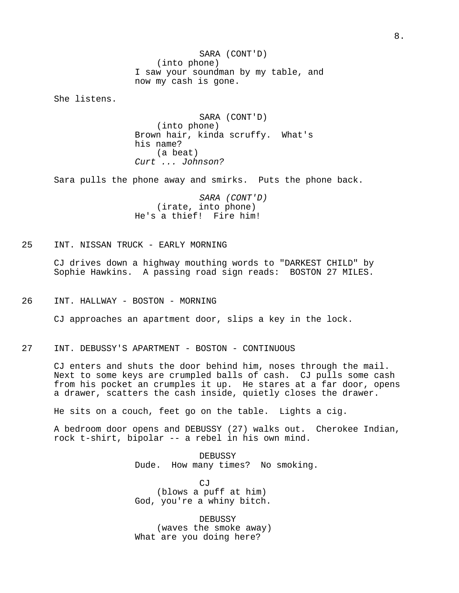SARA (CONT'D) (into phone) I saw your soundman by my table, and now my cash is gone.

She listens.

SARA (CONT'D) (into phone) Brown hair, kinda scruffy. What's his name? (a beat) Curt ... Johnson?

Sara pulls the phone away and smirks. Puts the phone back.

SARA (CONT'D) (irate, into phone) He's a thief! Fire him!

# 25 INT. NISSAN TRUCK - EARLY MORNING

CJ drives down a highway mouthing words to "DARKEST CHILD" by Sophie Hawkins. A passing road sign reads: BOSTON 27 MILES.

26 INT. HALLWAY - BOSTON - MORNING

CJ approaches an apartment door, slips a key in the lock.

27 INT. DEBUSSY'S APARTMENT - BOSTON - CONTINUOUS

CJ enters and shuts the door behind him, noses through the mail. Next to some keys are crumpled balls of cash. CJ pulls some cash from his pocket an crumples it up. He stares at a far door, opens a drawer, scatters the cash inside, quietly closes the drawer.

He sits on a couch, feet go on the table. Lights a cig.

A bedroom door opens and DEBUSSY (27) walks out. Cherokee Indian, rock t-shirt, bipolar -- a rebel in his own mind.

> DEBUSSY Dude. How many times? No smoking.

CJ (blows a puff at him) God, you're a whiny bitch.

DEBUSSY (waves the smoke away) What are you doing here?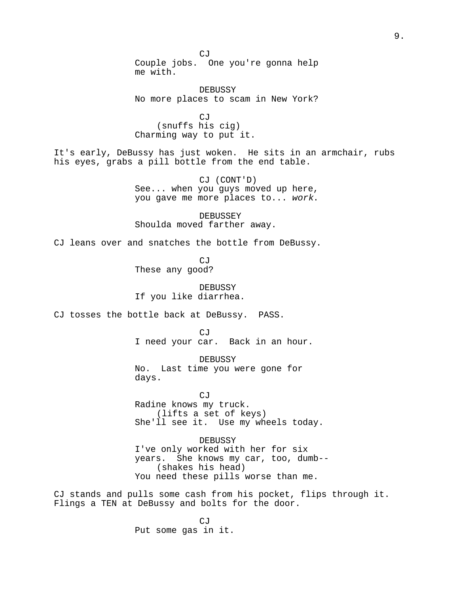CJ Couple jobs. One you're gonna help me with.

DEBUSSY No more places to scam in New York?

 $C_1T$ (snuffs his cig) Charming way to put it.

It's early, DeBussy has just woken. He sits in an armchair, rubs his eyes, grabs a pill bottle from the end table.

> CJ (CONT'D) See... when you guys moved up here, you gave me more places to... work.

DEBUSSEY Shoulda moved farther away.

CJ leans over and snatches the bottle from DeBussy.

CJ These any good?

DEBUSSY If you like diarrhea.

CJ tosses the bottle back at DeBussy. PASS.

CJ I need your car. Back in an hour.

DEBUSSY No. Last time you were gone for days.

CJ Radine knows my truck. (lifts a set of keys) She'll see it. Use my wheels today.

DEBUSSY I've only worked with her for six years. She knows my car, too, dumb-- (shakes his head) You need these pills worse than me.

CJ stands and pulls some cash from his pocket, flips through it. Flings a TEN at DeBussy and bolts for the door.

> CJ Put some gas in it.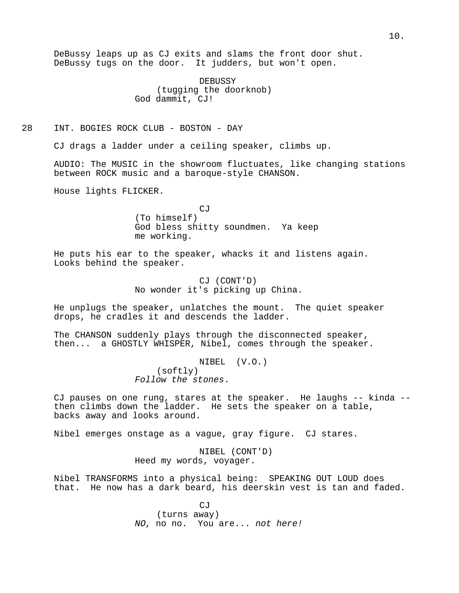DeBussy leaps up as CJ exits and slams the front door shut. DeBussy tugs on the door. It judders, but won't open.

> DEBUSSY (tugging the doorknob) God dammit, CJ!

## 28 INT. BOGIES ROCK CLUB - BOSTON - DAY

CJ drags a ladder under a ceiling speaker, climbs up.

AUDIO: The MUSIC in the showroom fluctuates, like changing stations between ROCK music and a baroque-style CHANSON.

House lights FLICKER.

**CJ** (To himself) God bless shitty soundmen. Ya keep me working.

He puts his ear to the speaker, whacks it and listens again. Looks behind the speaker.

> CJ (CONT'D) No wonder it's picking up China.

He unplugs the speaker, unlatches the mount. The quiet speaker drops, he cradles it and descends the ladder.

The CHANSON suddenly plays through the disconnected speaker, then... a GHOSTLY WHISPER, Nibel, comes through the speaker.

> NIBEL (V.O.) (softly) Follow the stones.

CJ pauses on one rung, stares at the speaker. He laughs -- kinda - then climbs down the ladder. He sets the speaker on a table, backs away and looks around.

Nibel emerges onstage as a vague, gray figure. CJ stares.

NIBEL (CONT'D) Heed my words, voyager.

Nibel TRANSFORMS into a physical being: SPEAKING OUT LOUD does that. He now has a dark beard, his deerskin vest is tan and faded.

> CJ (turns away) NO, no no. You are... not here!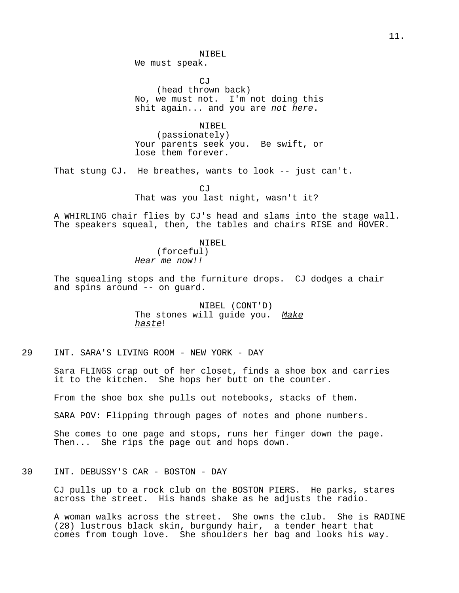NIBEL

We must speak.

CJ

(head thrown back) No, we must not. I'm not doing this shit again... and you are not here.

NIBEL

(passionately) Your parents seek you. Be swift, or lose them forever.

That stung CJ. He breathes, wants to look -- just can't.

CJ That was you last night, wasn't it?

A WHIRLING chair flies by CJ's head and slams into the stage wall. The speakers squeal, then, the tables and chairs RISE and HOVER.

NIBEL

(forceful) Hear me now!!

The squealing stops and the furniture drops. CJ dodges a chair and spins around -- on guard.

> NIBEL (CONT'D) The stones will quide you. Make haste!

29 INT. SARA'S LIVING ROOM - NEW YORK - DAY

Sara FLINGS crap out of her closet, finds a shoe box and carries it to the kitchen. She hops her butt on the counter.

From the shoe box she pulls out notebooks, stacks of them.

SARA POV: Flipping through pages of notes and phone numbers.

She comes to one page and stops, runs her finger down the page. Then... She rips the page out and hops down.

30 INT. DEBUSSY'S CAR - BOSTON - DAY

CJ pulls up to a rock club on the BOSTON PIERS. He parks, stares across the street. His hands shake as he adjusts the radio.

A woman walks across the street. She owns the club. She is RADINE (28) lustrous black skin, burgundy hair, a tender heart that comes from tough love. She shoulders her bag and looks his way.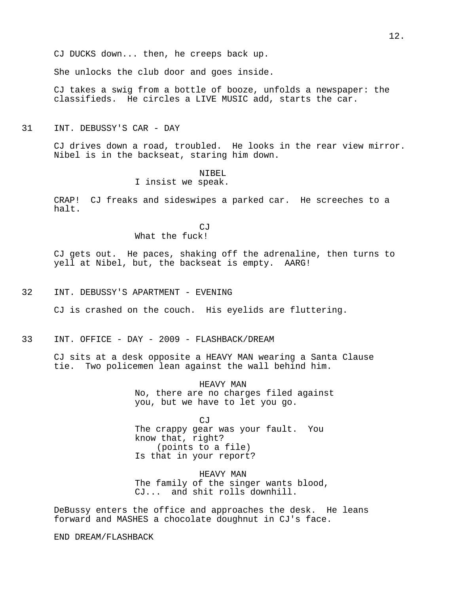CJ DUCKS down... then, he creeps back up.

She unlocks the club door and goes inside.

CJ takes a swig from a bottle of booze, unfolds a newspaper: the classifieds. He circles a LIVE MUSIC add, starts the car.

### 31 INT. DEBUSSY'S CAR - DAY

CJ drives down a road, troubled. He looks in the rear view mirror. Nibel is in the backseat, staring him down.

### NIBEL I insist we speak.

CRAP! CJ freaks and sideswipes a parked car. He screeches to a halt.

> CJ What the fuck!

CJ gets out. He paces, shaking off the adrenaline, then turns to yell at Nibel, but, the backseat is empty. AARG!

32 INT. DEBUSSY'S APARTMENT - EVENING

CJ is crashed on the couch. His eyelids are fluttering.

33 INT. OFFICE - DAY - 2009 - FLASHBACK/DREAM

CJ sits at a desk opposite a HEAVY MAN wearing a Santa Clause tie. Two policemen lean against the wall behind him.

> HEAVY MAN No, there are no charges filed against you, but we have to let you go.

CJ The crappy gear was your fault. You know that, right? (points to a file) Is that in your report?

HEAVY MAN The family of the singer wants blood, CJ... and shit rolls downhill.

DeBussy enters the office and approaches the desk. He leans forward and MASHES a chocolate doughnut in CJ's face.

END DREAM/FLASHBACK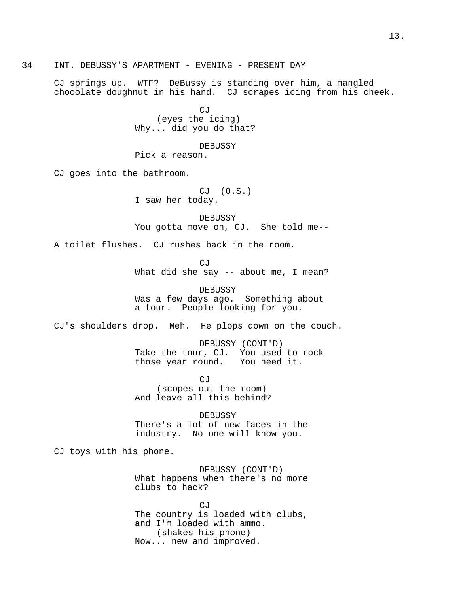34 INT. DEBUSSY'S APARTMENT - EVENING - PRESENT DAY

CJ springs up. WTF? DeBussy is standing over him, a mangled chocolate doughnut in his hand. CJ scrapes icing from his cheek.

> CJ (eyes the icing) Why... did you do that?

DEBUSSY Pick a reason.

CJ goes into the bathroom.

CJ (O.S.) I saw her today.

DEBUSSY You gotta move on, CJ. She told me--

A toilet flushes. CJ rushes back in the room.

CJ What did she say -- about me, I mean?

DEBUSSY Was a few days ago. Something about a tour. People looking for you.

CJ's shoulders drop. Meh. He plops down on the couch.

DEBUSSY (CONT'D) Take the tour, CJ. You used to rock those year round. You need it.

CJ (scopes out the room) And leave all this behind?

DEBUSSY There's a lot of new faces in the industry. No one will know you.

CJ toys with his phone.

DEBUSSY (CONT'D) What happens when there's no more clubs to hack?

CJ The country is loaded with clubs, and I'm loaded with ammo. (shakes his phone) Now... new and improved.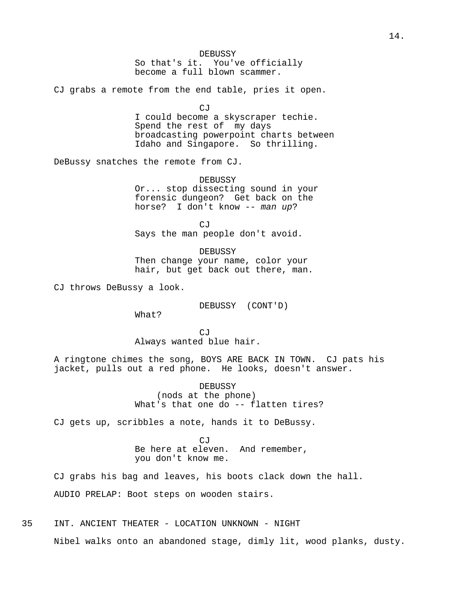### DEBUSSY

So that's it. You've officially become a full blown scammer.

CJ grabs a remote from the end table, pries it open.

CJ

I could become a skyscraper techie. Spend the rest of my days broadcasting powerpoint charts between Idaho and Singapore. So thrilling.

DeBussy snatches the remote from CJ.

DEBUSSY Or... stop dissecting sound in your forensic dungeon? Get back on the horse? I don't know -- man up?

CJ Says the man people don't avoid.

DEBUSSY Then change your name, color your hair, but get back out there, man.

CJ throws DeBussy a look.

DEBUSSY (CONT'D)

What?

 $CJ$ Always wanted blue hair.

A ringtone chimes the song, BOYS ARE BACK IN TOWN. CJ pats his jacket, pulls out a red phone. He looks, doesn't answer.

> DEBUSSY (nods at the phone) What's that one do -- flatten tires?

CJ gets up, scribbles a note, hands it to DeBussy.

CJ Be here at eleven. And remember, you don't know me.

CJ grabs his bag and leaves, his boots clack down the hall. AUDIO PRELAP: Boot steps on wooden stairs.

35 INT. ANCIENT THEATER - LOCATION UNKNOWN - NIGHT

Nibel walks onto an abandoned stage, dimly lit, wood planks, dusty.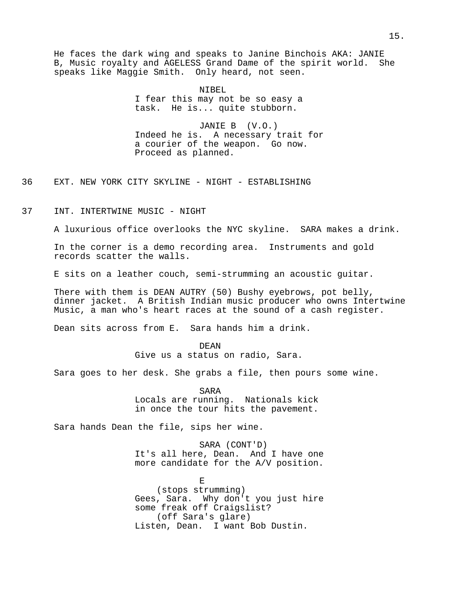He faces the dark wing and speaks to Janine Binchois AKA: JANIE B, Music royalty and AGELESS Grand Dame of the spirit world. She speaks like Maggie Smith. Only heard, not seen.

> NIBEL I fear this may not be so easy a task. He is... quite stubborn.

JANIE B (V.O.) Indeed he is. A necessary trait for a courier of the weapon. Go now. Proceed as planned.

36 EXT. NEW YORK CITY SKYLINE - NIGHT - ESTABLISHING

37 INT. INTERTWINE MUSIC - NIGHT

A luxurious office overlooks the NYC skyline. SARA makes a drink.

In the corner is a demo recording area. Instruments and gold records scatter the walls.

E sits on a leather couch, semi-strumming an acoustic guitar.

There with them is DEAN AUTRY (50) Bushy eyebrows, pot belly, dinner jacket. A British Indian music producer who owns Intertwine Music, a man who's heart races at the sound of a cash register.

Dean sits across from E. Sara hands him a drink.

DEAN Give us a status on radio, Sara.

Sara goes to her desk. She grabs a file, then pours some wine.

SARA Locals are running. Nationals kick in once the tour hits the pavement.

Sara hands Dean the file, sips her wine.

SARA (CONT'D) It's all here, Dean. And I have one more candidate for the A/V position.

E (stops strumming) Gees, Sara. Why don't you just hire some freak off Craigslist? (off Sara's glare) Listen, Dean. I want Bob Dustin.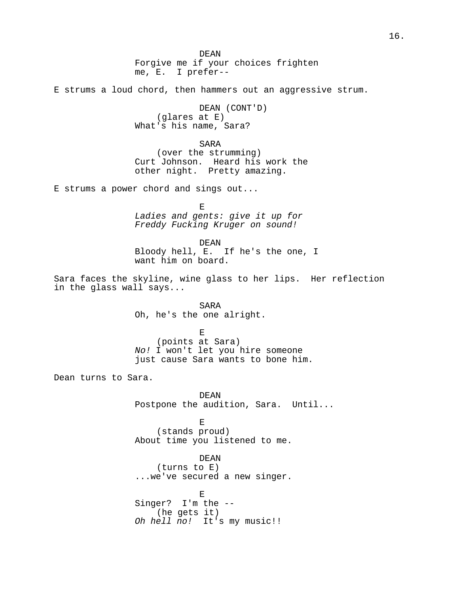DEAN Forgive me if your choices frighten me, E. I prefer--

E strums a loud chord, then hammers out an aggressive strum.

DEAN (CONT'D) (glares at E) What's his name, Sara?

### SARA

(over the strumming) Curt Johnson. Heard his work the other night. Pretty amazing.

E strums a power chord and sings out...

E Ladies and gents: give it up for Freddy Fucking Kruger on sound!

#### DEAN

Bloody hell, E. If he's the one, I want him on board.

Sara faces the skyline, wine glass to her lips. Her reflection in the glass wall says...

> SARA Oh, he's the one alright.

> > E

(points at Sara) No! I won't let you hire someone just cause Sara wants to bone him.

Dean turns to Sara.

DEAN Postpone the audition, Sara. Until...

E (stands proud) About time you listened to me.

DEAN

(turns to E) ...we've secured a new singer.

E Singer? I'm the -- (he gets it) Oh hell no! It's my music!!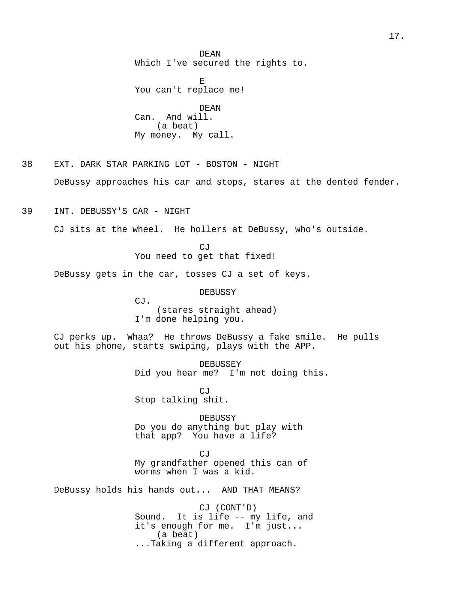DEAN Which I've secured the rights to.

E You can't replace me! DEAN Can. And will. (a beat) My money. My call.

38 EXT. DARK STAR PARKING LOT - BOSTON - NIGHT DeBussy approaches his car and stops, stares at the dented fender.

39 INT. DEBUSSY'S CAR - NIGHT

CJ sits at the wheel. He hollers at DeBussy, who's outside.

CJ You need to get that fixed!

DeBussy gets in the car, tosses CJ a set of keys.

DEBUSSY

CJ. (stares straight ahead) I'm done helping you.

CJ perks up. Whaa? He throws DeBussy a fake smile. He pulls out his phone, starts swiping, plays with the APP.

> DEBUSSEY Did you hear me? I'm not doing this.

CJ Stop talking shit.

DEBUSSY Do you do anything but play with that app? You have a life?

CJ My grandfather opened this can of worms when I was a kid.

DeBussy holds his hands out... AND THAT MEANS?

CJ (CONT'D) Sound. It is life -- my life, and it's enough for me. I'm just... (a beat) ...Taking a different approach.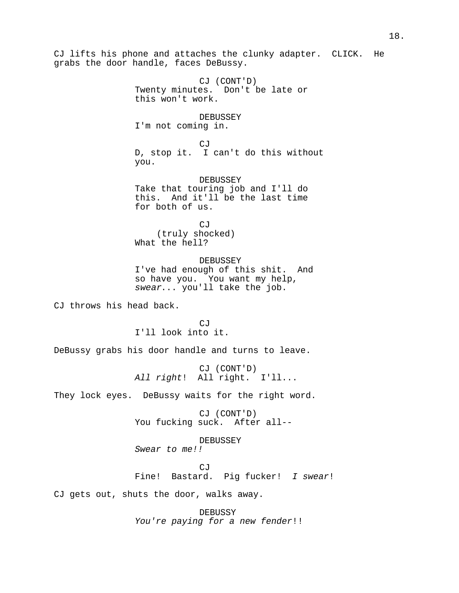CJ lifts his phone and attaches the clunky adapter. CLICK. He grabs the door handle, faces DeBussy. CJ (CONT'D) Twenty minutes. Don't be late or this won't work. DEBUSSEY I'm not coming in. CJ D, stop it. I can't do this without you. DEBUSSEY Take that touring job and I'll do this. And it'll be the last time for both of us. CJ (truly shocked) What the hell? DEBUSSEY I've had enough of this shit. And so have you. You want my help, swear... you'll take the job. CJ throws his head back. CJ I'll look into it. DeBussy grabs his door handle and turns to leave. CJ (CONT'D) All right! All right. I'll... They lock eyes. DeBussy waits for the right word. CJ (CONT'D) You fucking suck. After all-- DEBUSSEY Swear to me!! CJ Fine! Bastard. Pig fucker! I swear! CJ gets out, shuts the door, walks away.

DEBUSSY You're paying for a new fender!!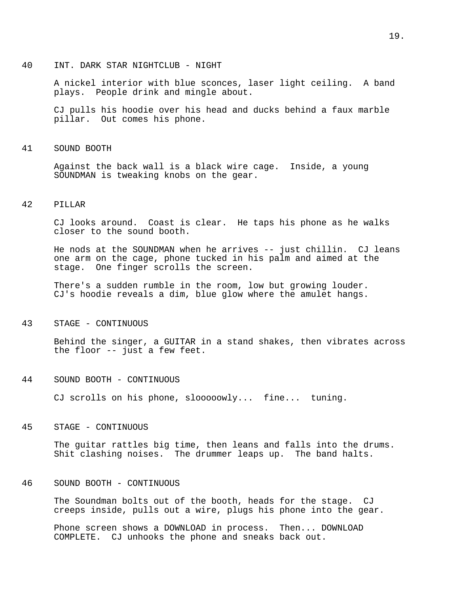#### 40 INT. DARK STAR NIGHTCLUB - NIGHT

A nickel interior with blue sconces, laser light ceiling. A band plays. People drink and mingle about.

CJ pulls his hoodie over his head and ducks behind a faux marble pillar. Out comes his phone.

### 41 SOUND BOOTH

Against the back wall is a black wire cage. Inside, a young SOUNDMAN is tweaking knobs on the gear.

### 42 PILLAR

CJ looks around. Coast is clear. He taps his phone as he walks closer to the sound booth.

He nods at the SOUNDMAN when he arrives -- just chillin. CJ leans one arm on the cage, phone tucked in his palm and aimed at the stage. One finger scrolls the screen.

There's a sudden rumble in the room, low but growing louder. CJ's hoodie reveals a dim, blue glow where the amulet hangs.

## 43 STAGE - CONTINUOUS

Behind the singer, a GUITAR in a stand shakes, then vibrates across the floor -- just a few feet.

44 SOUND BOOTH - CONTINUOUS

CJ scrolls on his phone, slooooowly... fine... tuning.

### 45 STAGE - CONTINUOUS

The guitar rattles big time, then leans and falls into the drums. Shit clashing noises. The drummer leaps up. The band halts.

## 46 SOUND BOOTH - CONTINUOUS

The Soundman bolts out of the booth, heads for the stage. CJ creeps inside, pulls out a wire, plugs his phone into the gear.

Phone screen shows a DOWNLOAD in process. Then... DOWNLOAD COMPLETE. CJ unhooks the phone and sneaks back out.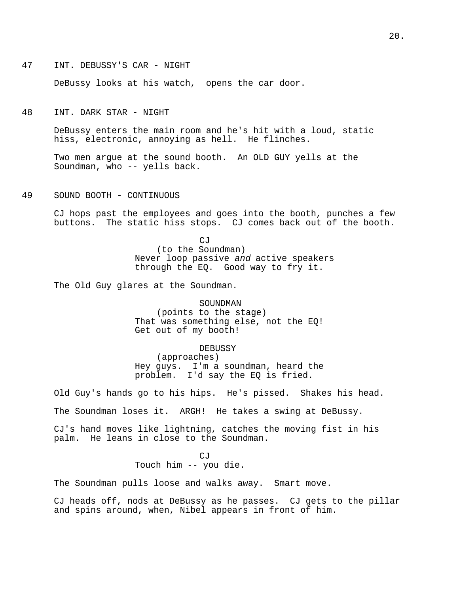47 INT. DEBUSSY'S CAR - NIGHT

DeBussy looks at his watch, opens the car door.

48 INT. DARK STAR - NIGHT

DeBussy enters the main room and he's hit with a loud, static hiss, electronic, annoying as hell. He flinches.

Two men argue at the sound booth. An OLD GUY yells at the Soundman, who -- yells back.

49 SOUND BOOTH - CONTINUOUS

CJ hops past the employees and goes into the booth, punches a few buttons. The static hiss stops. CJ comes back out of the booth.

> CJ (to the Soundman) Never loop passive and active speakers through the EQ. Good way to fry it.

The Old Guy glares at the Soundman.

#### SOUNDMAN

(points to the stage) That was something else, not the EQ! Get out of my booth!

### DEBUSSY

(approaches) Hey guys. I'm a soundman, heard the problem. I'd say the EQ is fried.

Old Guy's hands go to his hips. He's pissed. Shakes his head.

The Soundman loses it. ARGH! He takes a swing at DeBussy.

CJ's hand moves like lightning, catches the moving fist in his palm. He leans in close to the Soundman.

CJ

Touch him -- you die.

The Soundman pulls loose and walks away. Smart move.

CJ heads off, nods at DeBussy as he passes. CJ gets to the pillar and spins around, when, Nibel appears in front of him.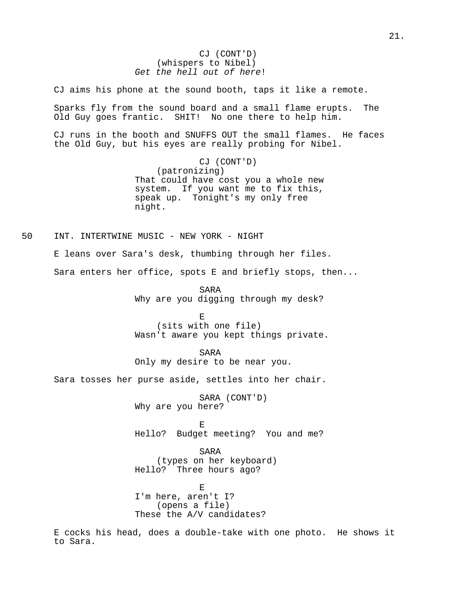# CJ (CONT'D) (whispers to Nibel) Get the hell out of here!

CJ aims his phone at the sound booth, taps it like a remote.

Sparks fly from the sound board and a small flame erupts. The Old Guy goes frantic. SHIT! No one there to help him.

CJ runs in the booth and SNUFFS OUT the small flames. He faces the Old Guy, but his eyes are really probing for Nibel.

> CJ (CONT'D) (patronizing) That could have cost you a whole new system. If you want me to fix this, speak up. Tonight's my only free night.

50 INT. INTERTWINE MUSIC - NEW YORK - NIGHT

E leans over Sara's desk, thumbing through her files.

Sara enters her office, spots E and briefly stops, then...

SARA Why are you digging through my desk?

E (sits with one file) Wasn't aware you kept things private.

SARA Only my desire to be near you.

Sara tosses her purse aside, settles into her chair.

SARA (CONT'D) Why are you here?

E Hello? Budget meeting? You and me?

SARA (types on her keyboard) Hello? Three hours ago?

E I'm here, aren't I? (opens a file) These the A/V candidates?

E cocks his head, does a double-take with one photo. He shows it to Sara.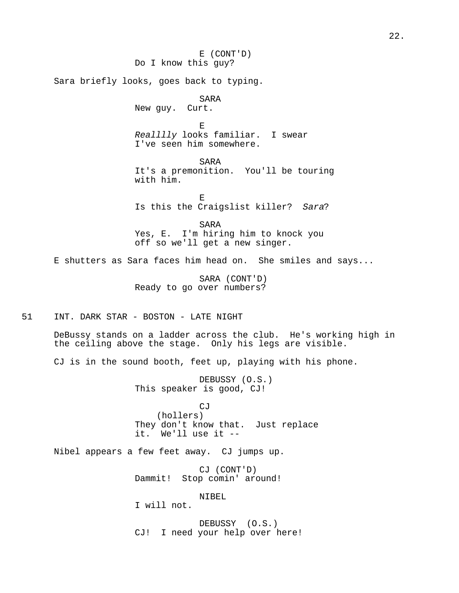E (CONT'D) Do I know this guy? Sara briefly looks, goes back to typing. SARA New guy. Curt. E Realllly looks familiar. I swear I've seen him somewhere. SARA It's a premonition. You'll be touring with him. E Is this the Craigslist killer? Sara? SARA Yes, E. I'm hiring him to knock you off so we'll get a new singer. E shutters as Sara faces him head on. She smiles and says... SARA (CONT'D) Ready to go over numbers? 51 INT. DARK STAR - BOSTON - LATE NIGHT DeBussy stands on a ladder across the club. He's working high in the ceiling above the stage. Only his legs are visible. CJ is in the sound booth, feet up, playing with his phone. DEBUSSY (O.S.) This speaker is good, CJ! CJ (hollers) They don't know that. Just replace it. We'll use it -- Nibel appears a few feet away. CJ jumps up. CJ (CONT'D) Dammit! Stop comin' around! NIBEL I will not.

> DEBUSSY (O.S.) CJ! I need your help over here!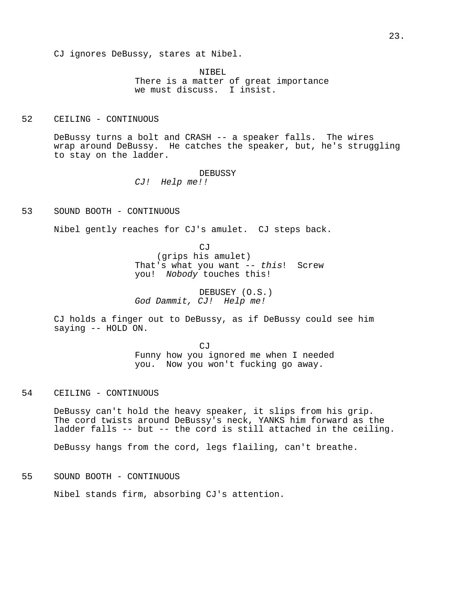CJ ignores DeBussy, stares at Nibel.

NIBEL. There is a matter of great importance we must discuss. I insist.

## 52 CEILING - CONTINUOUS

DeBussy turns a bolt and CRASH -- a speaker falls. The wires wrap around DeBussy. He catches the speaker, but, he's struggling to stay on the ladder.

DEBUSSY

CJ! Help me!!

53 SOUND BOOTH - CONTINUOUS

Nibel gently reaches for CJ's amulet. CJ steps back.

CJ (grips his amulet) That's what you want -- this! Screw you! Nobody touches this!

DEBUSEY (O.S.) God Dammit, CJ! Help me!

CJ holds a finger out to DeBussy, as if DeBussy could see him saying -- HOLD ON.

> CJ Funny how you ignored me when I needed you. Now you won't fucking go away.

## 54 CEILING - CONTINUOUS

DeBussy can't hold the heavy speaker, it slips from his grip. The cord twists around DeBussy's neck, YANKS him forward as the ladder falls -- but -- the cord is still attached in the ceiling.

DeBussy hangs from the cord, legs flailing, can't breathe.

55 SOUND BOOTH - CONTINUOUS

Nibel stands firm, absorbing CJ's attention.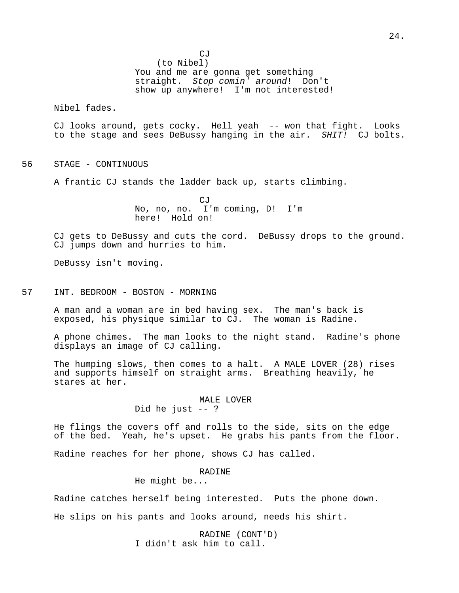(to Nibel) You and me are gonna get something straight. Stop comin' around! Don't show up anywhere! I'm not interested!

Nibel fades.

CJ looks around, gets cocky. Hell yeah -- won that fight. Looks to the stage and sees DeBussy hanging in the air. SHIT! CJ bolts.

56 STAGE - CONTINUOUS

A frantic CJ stands the ladder back up, starts climbing.

CJ No, no, no. I'm coming, D! I'm here! Hold on!

CJ gets to DeBussy and cuts the cord. DeBussy drops to the ground. CJ jumps down and hurries to him.

DeBussy isn't moving.

# 57 INT. BEDROOM - BOSTON - MORNING

A man and a woman are in bed having sex. The man's back is exposed, his physique similar to CJ. The woman is Radine.

A phone chimes. The man looks to the night stand. Radine's phone displays an image of CJ calling.

The humping slows, then comes to a halt. A MALE LOVER (28) rises and supports himself on straight arms. Breathing heavily, he stares at her.

### MALE LOVER Did he just -- ?

He flings the covers off and rolls to the side, sits on the edge of the bed. Yeah, he's upset. He grabs his pants from the floor.

Radine reaches for her phone, shows CJ has called.

### RADINE

He might be...

Radine catches herself being interested. Puts the phone down.

He slips on his pants and looks around, needs his shirt.

RADINE (CONT'D) I didn't ask him to call.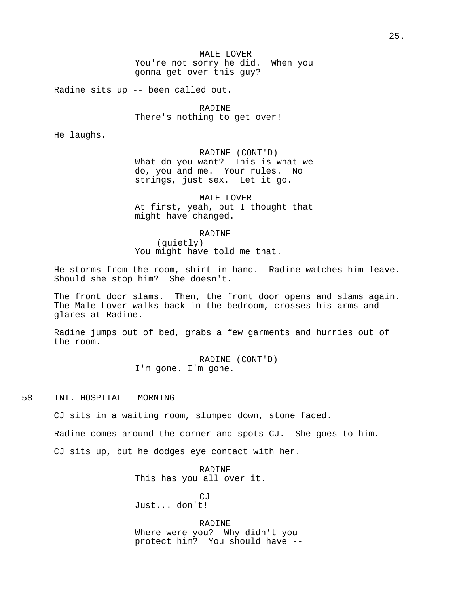Radine sits up -- been called out.

RADINE There's nothing to get over!

He laughs.

RADINE (CONT'D) What do you want? This is what we do, you and me. Your rules. No strings, just sex. Let it go.

MALE LOVER At first, yeah, but I thought that might have changed.

RADINE

(quietly) You might have told me that.

He storms from the room, shirt in hand. Radine watches him leave. Should she stop him? She doesn't.

The front door slams. Then, the front door opens and slams again. The Male Lover walks back in the bedroom, crosses his arms and glares at Radine.

Radine jumps out of bed, grabs a few garments and hurries out of the room.

> RADINE (CONT'D) I'm gone. I'm gone.

58 INT. HOSPITAL - MORNING

CJ sits in a waiting room, slumped down, stone faced.

Radine comes around the corner and spots CJ. She goes to him.

CJ sits up, but he dodges eye contact with her.

RADINE This has you all over it.

 $C,T$ Just... don't!

RADINE Where were you? Why didn't you protect him? You should have --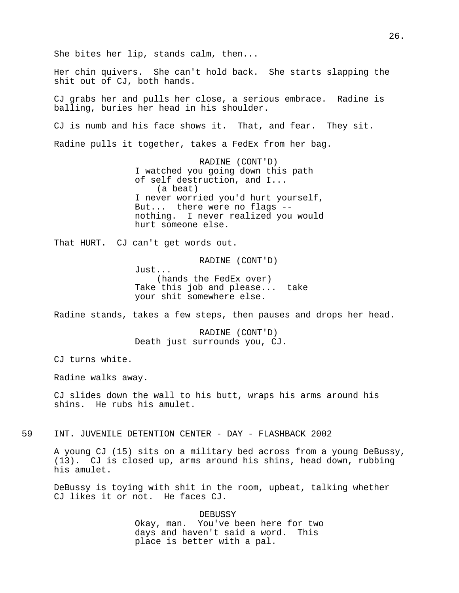She bites her lip, stands calm, then... Her chin quivers. She can't hold back. She starts slapping the shit out of CJ, both hands. CJ grabs her and pulls her close, a serious embrace. Radine is balling, buries her head in his shoulder. CJ is numb and his face shows it. That, and fear. They sit. Radine pulls it together, takes a FedEx from her bag. RADINE (CONT'D) I watched you going down this path of self destruction, and I... (a beat) I never worried you'd hurt yourself, But... there were no flags - nothing. I never realized you would hurt someone else. That HURT. CJ can't get words out. RADINE (CONT'D) Just... (hands the FedEx over) Take this job and please... take your shit somewhere else. Radine stands, takes a few steps, then pauses and drops her head. RADINE (CONT'D) Death just surrounds you, CJ. CJ turns white. Radine walks away. CJ slides down the wall to his butt, wraps his arms around his shins. He rubs his amulet. 59 INT. JUVENILE DETENTION CENTER - DAY - FLASHBACK 2002 A young CJ (15) sits on a military bed across from a young DeBussy, (13). CJ is closed up, arms around his shins, head down, rubbing his amulet.

DeBussy is toying with shit in the room, upbeat, talking whether CJ likes it or not. He faces CJ.

> DEBUSSY Okay, man. You've been here for two days and haven't said a word. This place is better with a pal.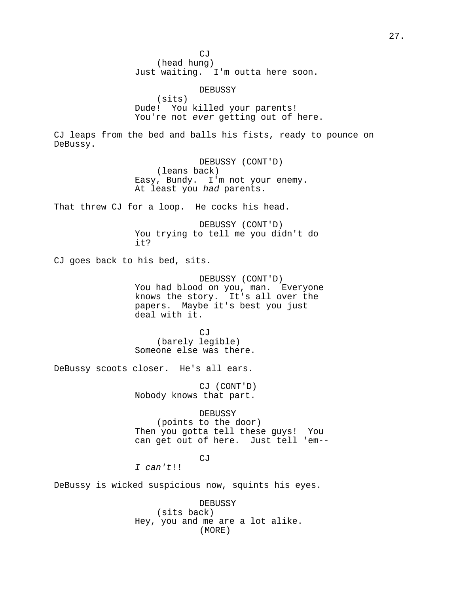CJ (head hung) Just waiting. I'm outta here soon. DEBUSSY (sits) Dude! You killed your parents! You're not ever getting out of here. CJ leaps from the bed and balls his fists, ready to pounce on DeBussy. DEBUSSY (CONT'D) (leans back) Easy, Bundy. I'm not your enemy. At least you had parents. That threw CJ for a loop. He cocks his head. DEBUSSY (CONT'D) You trying to tell me you didn't do it? CJ goes back to his bed, sits. DEBUSSY (CONT'D) You had blood on you, man. Everyone knows the story. It's all over the papers. Maybe it's best you just deal with it. CJ (barely legible) Someone else was there. DeBussy scoots closer. He's all ears. CJ (CONT'D) Nobody knows that part. DEBUSSY (points to the door) Then you gotta tell these guys! You can get out of here. Just tell 'em-- **CJ** I can't!! DeBussy is wicked suspicious now, squints his eyes. DEBUSSY (sits back) Hey, you and me are a lot alike.

(MORE)

27.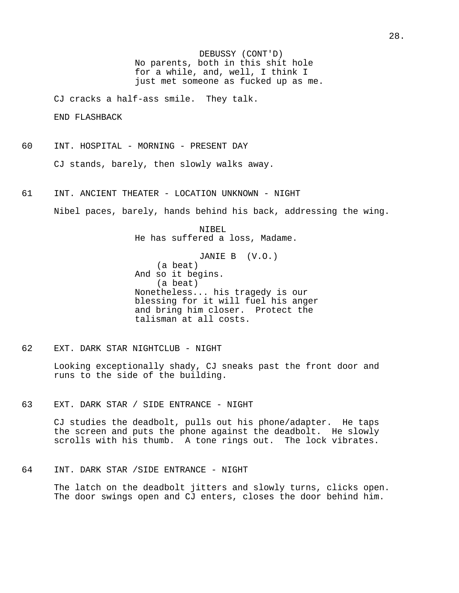DEBUSSY (CONT'D) No parents, both in this shit hole for a while, and, well, I think I just met someone as fucked up as me.

CJ cracks a half-ass smile. They talk.

END FLASHBACK

- 60 INT. HOSPITAL MORNING PRESENT DAY CJ stands, barely, then slowly walks away.
- 61 INT. ANCIENT THEATER LOCATION UNKNOWN NIGHT

Nibel paces, barely, hands behind his back, addressing the wing.

NIBEL He has suffered a loss, Madame.

JANIE B (V.O.) (a beat) And so it begins. (a beat) Nonetheless... his tragedy is our blessing for it will fuel his anger and bring him closer. Protect the talisman at all costs.

62 EXT. DARK STAR NIGHTCLUB - NIGHT

Looking exceptionally shady, CJ sneaks past the front door and runs to the side of the building.

63 EXT. DARK STAR / SIDE ENTRANCE - NIGHT

CJ studies the deadbolt, pulls out his phone/adapter. He taps the screen and puts the phone against the deadbolt. He slowly scrolls with his thumb. A tone rings out. The lock vibrates.

64 INT. DARK STAR /SIDE ENTRANCE - NIGHT

The latch on the deadbolt jitters and slowly turns, clicks open. The door swings open and CJ enters, closes the door behind him.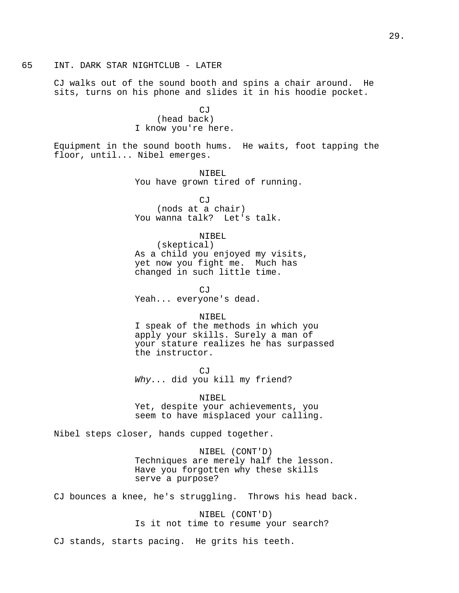### 65 INT. DARK STAR NIGHTCLUB - LATER

CJ walks out of the sound booth and spins a chair around. He sits, turns on his phone and slides it in his hoodie pocket.

# CJ (head back) I know you're here.

Equipment in the sound booth hums. He waits, foot tapping the floor, until... Nibel emerges.

> NIBEL You have grown tired of running.

CJ (nods at a chair) You wanna talk? Let's talk.

## NIBEL

(skeptical) As a child you enjoyed my visits, yet now you fight me. Much has changed in such little time.

CJ Yeah... everyone's dead.

#### NIBEL

I speak of the methods in which you apply your skills. Surely a man of your stature realizes he has surpassed the instructor.

CJ Why... did you kill my friend?

NIBEL Yet, despite your achievements, you seem to have misplaced your calling.

Nibel steps closer, hands cupped together.

NIBEL (CONT'D) Techniques are merely half the lesson. Have you forgotten why these skills serve a purpose?

CJ bounces a knee, he's struggling. Throws his head back.

NIBEL (CONT'D) Is it not time to resume your search?

CJ stands, starts pacing. He grits his teeth.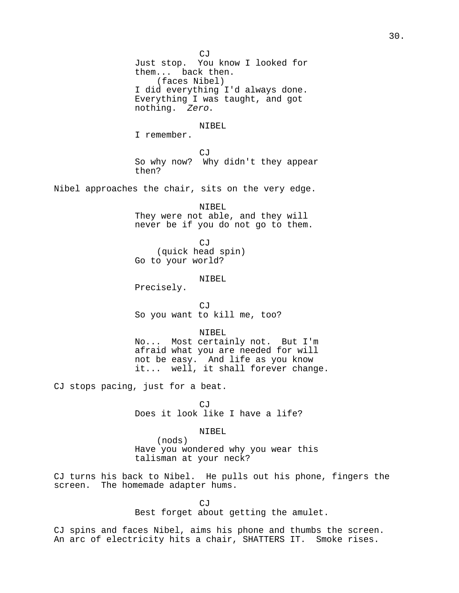CJ Just stop. You know I looked for them... back then. (faces Nibel) I did everything I'd always done. Everything I was taught, and got nothing. Zero. NIBEL I remember. CJ So why now? Why didn't they appear then? Nibel approaches the chair, sits on the very edge. NIBEL They were not able, and they will never be if you do not go to them. CJ (quick head spin) Go to your world? NIBEL Precisely. CJ So you want to kill me, too? NIBEL No... Most certainly not. But I'm afraid what you are needed for will not be easy. And life as you know it... well, it shall forever change. CJ stops pacing, just for a beat. CJ Does it look like I have a life? NIBEL (nods) Have you wondered why you wear this

talisman at your neck?

CJ turns his back to Nibel. He pulls out his phone, fingers the screen. The homemade adapter hums.

> CJ Best forget about getting the amulet.

CJ spins and faces Nibel, aims his phone and thumbs the screen. An arc of electricity hits a chair, SHATTERS IT. Smoke rises.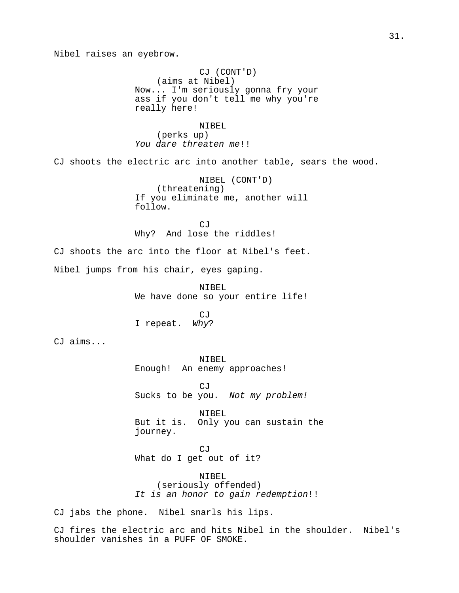Nibel raises an eyebrow.

CJ (CONT'D) (aims at Nibel) Now... I'm seriously gonna fry your ass if you don't tell me why you're really here!

NIBEL (perks up) You dare threaten me!!

CJ shoots the electric arc into another table, sears the wood.

NIBEL (CONT'D) (threatening) If you eliminate me, another will follow.

CJ Why? And lose the riddles!

CJ shoots the arc into the floor at Nibel's feet.

Nibel jumps from his chair, eyes gaping.

NIBEL We have done so your entire life!

CJ I repeat. Why?

CJ aims...

NIBEL Enough! An enemy approaches!

CJ Sucks to be you. Not my problem!

NIBEL. But it is. Only you can sustain the journey.

CJ What do I get out of it?

NIBEL (seriously offended) It is an honor to gain redemption!!

CJ jabs the phone. Nibel snarls his lips.

CJ fires the electric arc and hits Nibel in the shoulder. Nibel's shoulder vanishes in a PUFF OF SMOKE.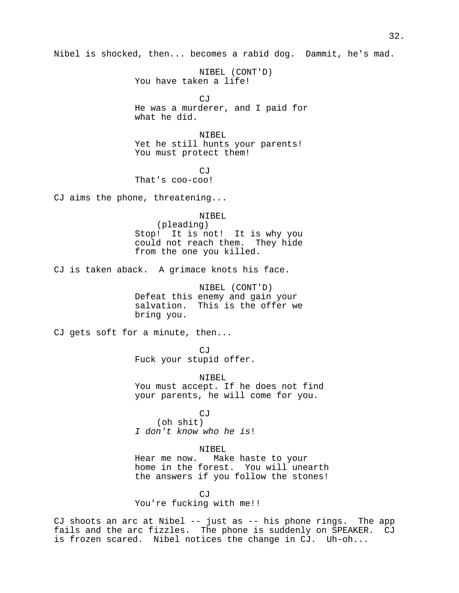Nibel is shocked, then... becomes a rabid dog. Dammit, he's mad.

NIBEL (CONT'D) You have taken a life!

CJ He was a murderer, and I paid for what he did.

NIBEL Yet he still hunts your parents! You must protect them!

CJ That's coo-coo!

CJ aims the phone, threatening...

NIBEL

(pleading) Stop! It is not! It is why you could not reach them. They hide from the one you killed.

CJ is taken aback. A grimace knots his face.

NIBEL (CONT'D) Defeat this enemy and gain your salvation. This is the offer we bring you.

CJ gets soft for a minute, then...

CJ Fuck your stupid offer.

NIBEL You must accept. If he does not find your parents, he will come for you.

CJ (oh shit) I don't know who he is!

NIBEL

Hear me now. Make haste to your home in the forest. You will unearth the answers if you follow the stones!

CJ You're fucking with me!!

CJ shoots an arc at Nibel -- just as -- his phone rings. The app fails and the arc fizzles. The phone is suddenly on SPEAKER. CJ is frozen scared. Nibel notices the change in CJ. Uh-oh...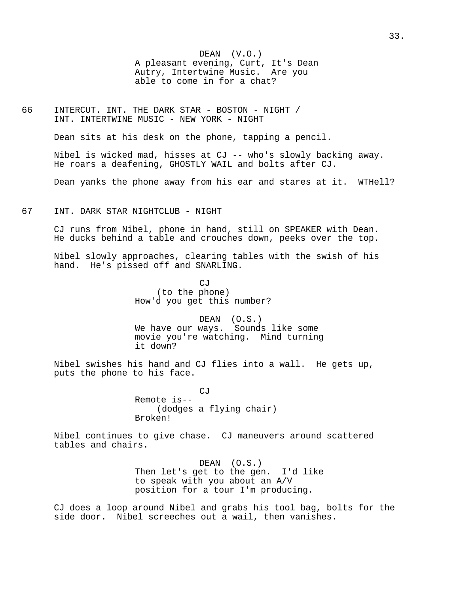DEAN (V.O.) A pleasant evening, Curt, It's Dean Autry, Intertwine Music. Are you able to come in for a chat?

66 INTERCUT. INT. THE DARK STAR - BOSTON - NIGHT / INT. INTERTWINE MUSIC - NEW YORK - NIGHT

Dean sits at his desk on the phone, tapping a pencil.

Nibel is wicked mad, hisses at CJ -- who's slowly backing away. He roars a deafening, GHOSTLY WAIL and bolts after CJ.

Dean yanks the phone away from his ear and stares at it. WTHell?

## 67 INT. DARK STAR NIGHTCLUB - NIGHT

CJ runs from Nibel, phone in hand, still on SPEAKER with Dean. He ducks behind a table and crouches down, peeks over the top.

Nibel slowly approaches, clearing tables with the swish of his hand. He's pissed off and SNARLING.

> CJ (to the phone) How'd you get this number?

DEAN (O.S.) We have our ways. Sounds like some movie you're watching. Mind turning it down?

Nibel swishes his hand and CJ flies into a wall. He gets up, puts the phone to his face.

> CJ Remote is-- (dodges a flying chair) Broken!

Nibel continues to give chase. CJ maneuvers around scattered tables and chairs.

> DEAN (O.S.) Then let's get to the gen. I'd like to speak with you about an A/V position for a tour I'm producing.

CJ does a loop around Nibel and grabs his tool bag, bolts for the side door. Nibel screeches out a wail, then vanishes.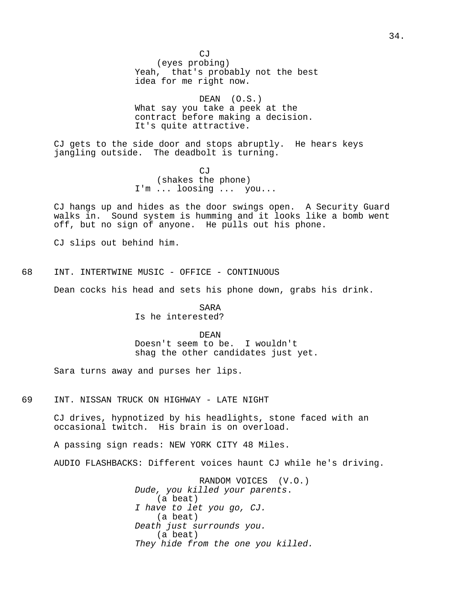$CJ$ (eyes probing) Yeah, that's probably not the best idea for me right now.

DEAN (O.S.) What say you take a peek at the contract before making a decision. It's quite attractive.

CJ gets to the side door and stops abruptly. He hears keys jangling outside. The deadbolt is turning.

> CJ (shakes the phone) I'm ... loosing ... you...

CJ hangs up and hides as the door swings open. A Security Guard walks in. Sound system is humming and it looks like a bomb went off, but no sign of anyone. He pulls out his phone.

CJ slips out behind him.

68 INT. INTERTWINE MUSIC - OFFICE - CONTINUOUS

Dean cocks his head and sets his phone down, grabs his drink.

SARA Is he interested?

DEAN Doesn't seem to be. I wouldn't shag the other candidates just yet.

Sara turns away and purses her lips.

69 INT. NISSAN TRUCK ON HIGHWAY - LATE NIGHT

CJ drives, hypnotized by his headlights, stone faced with an occasional twitch. His brain is on overload.

A passing sign reads: NEW YORK CITY 48 Miles.

AUDIO FLASHBACKS: Different voices haunt CJ while he's driving.

RANDOM VOICES (V.O.) Dude, you killed your parents. (a beat) I have to let you go, CJ. (a beat) Death just surrounds you. (a beat) They hide from the one you killed.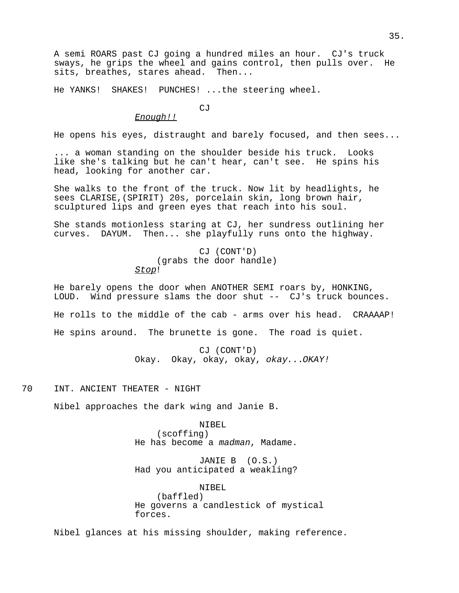A semi ROARS past CJ going a hundred miles an hour. CJ's truck sways, he grips the wheel and gains control, then pulls over. He sits, breathes, stares ahead. Then...

He YANKS! SHAKES! PUNCHES! ...the steering wheel.

CJ

### Enough!!

He opens his eyes, distraught and barely focused, and then sees...

... a woman standing on the shoulder beside his truck. Looks like she's talking but he can't hear, can't see. He spins his head, looking for another car.

She walks to the front of the truck. Now lit by headlights, he sees CLARISE,(SPIRIT) 20s, porcelain skin, long brown hair, sculptured lips and green eyes that reach into his soul.

She stands motionless staring at CJ, her sundress outlining her curves. DAYUM. Then... she playfully runs onto the highway.

> CJ (CONT'D) (grabs the door handle) Stop!

He barely opens the door when ANOTHER SEMI roars by, HONKING, LOUD. Wind pressure slams the door shut -- CJ's truck bounces. He rolls to the middle of the cab - arms over his head. CRAAAAP!

He spins around. The brunette is gone. The road is quiet.

CJ (CONT'D) Okay. Okay, okay, okay, okay...OKAY!

70 INT. ANCIENT THEATER - NIGHT

Nibel approaches the dark wing and Janie B.

NIBEL

(scoffing) He has become a madman, Madame.

JANIE B (O.S.) Had you anticipated a weakling?

NIBEL (baffled) He governs a candlestick of mystical forces.

Nibel glances at his missing shoulder, making reference.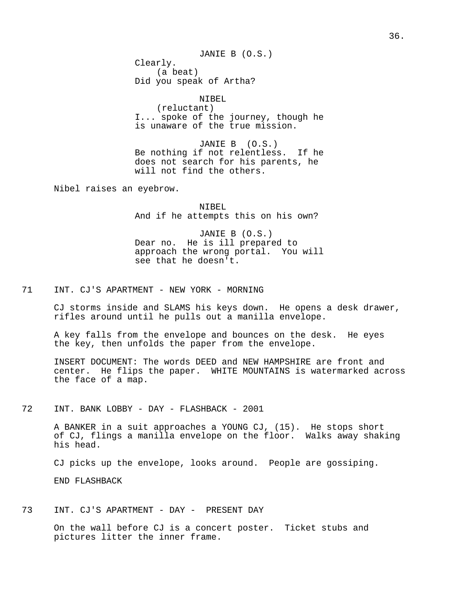JANIE B (O.S.) Clearly. (a beat) Did you speak of Artha?

NIBEL (reluctant) I... spoke of the journey, though he is unaware of the true mission.

JANIE B (O.S.) Be nothing if not relentless. If he does not search for his parents, he will not find the others.

Nibel raises an eyebrow.

NIBEL And if he attempts this on his own?

JANIE B (O.S.) Dear no. He is ill prepared to approach the wrong portal. You will see that he doesn't.

71 INT. CJ'S APARTMENT - NEW YORK - MORNING

CJ storms inside and SLAMS his keys down. He opens a desk drawer, rifles around until he pulls out a manilla envelope.

A key falls from the envelope and bounces on the desk. He eyes the key, then unfolds the paper from the envelope.

INSERT DOCUMENT: The words DEED and NEW HAMPSHIRE are front and center. He flips the paper. WHITE MOUNTAINS is watermarked across the face of a map.

72 INT. BANK LOBBY - DAY - FLASHBACK - 2001

A BANKER in a suit approaches a YOUNG CJ, (15). He stops short of CJ, flings a manilla envelope on the floor. Walks away shaking his head.

CJ picks up the envelope, looks around. People are gossiping.

END FLASHBACK

73 INT. CJ'S APARTMENT - DAY - PRESENT DAY

On the wall before CJ is a concert poster. Ticket stubs and pictures litter the inner frame.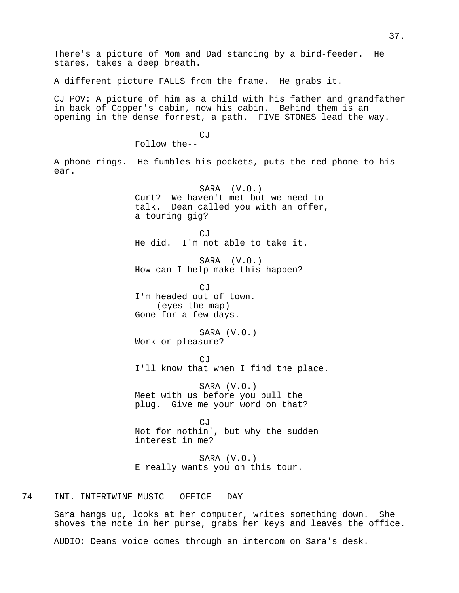There's a picture of Mom and Dad standing by a bird-feeder. He stares, takes a deep breath. A different picture FALLS from the frame. He grabs it. CJ POV: A picture of him as a child with his father and grandfather in back of Copper's cabin, now his cabin. Behind them is an opening in the dense forrest, a path. FIVE STONES lead the way. CJ Follow the-- A phone rings. He fumbles his pockets, puts the red phone to his ear. SARA (V.O.) Curt? We haven't met but we need to talk. Dean called you with an offer, a touring gig? CJ He did. I'm not able to take it. SARA (V.O.) How can I help make this happen? CJ I'm headed out of town. (eyes the map) Gone for a few days. SARA (V.O.) Work or pleasure? CJ I'll know that when I find the place. SARA (V.O.) Meet with us before you pull the plug. Give me your word on that? CJ Not for nothin', but why the sudden interest in me? SARA (V.O.) E really wants you on this tour. 74 INT. INTERTWINE MUSIC - OFFICE - DAY

Sara hangs up, looks at her computer, writes something down. She shoves the note in her purse, grabs her keys and leaves the office.

AUDIO: Deans voice comes through an intercom on Sara's desk.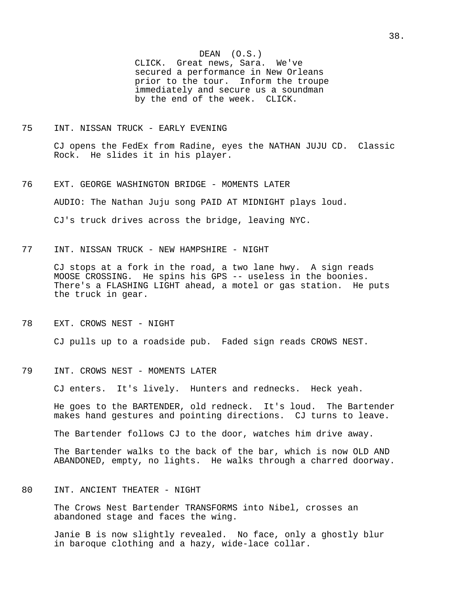DEAN (O.S.) CLICK. Great news, Sara. We've secured a performance in New Orleans prior to the tour. Inform the troupe immediately and secure us a soundman by the end of the week. CLICK.

## 75 INT. NISSAN TRUCK - EARLY EVENING

CJ opens the FedEx from Radine, eyes the NATHAN JUJU CD. Classic Rock. He slides it in his player.

- 76 EXT. GEORGE WASHINGTON BRIDGE MOMENTS LATER AUDIO: The Nathan Juju song PAID AT MIDNIGHT plays loud. CJ's truck drives across the bridge, leaving NYC.
- 77 INT. NISSAN TRUCK NEW HAMPSHIRE NIGHT

CJ stops at a fork in the road, a two lane hwy. A sign reads MOOSE CROSSING. He spins his GPS -- useless in the boonies. There's a FLASHING LIGHT ahead, a motel or gas station. He puts the truck in gear.

78 EXT. CROWS NEST - NIGHT

CJ pulls up to a roadside pub. Faded sign reads CROWS NEST.

79 INT. CROWS NEST - MOMENTS LATER

CJ enters. It's lively. Hunters and rednecks. Heck yeah.

He goes to the BARTENDER, old redneck. It's loud. The Bartender makes hand gestures and pointing directions. CJ turns to leave.

The Bartender follows CJ to the door, watches him drive away.

The Bartender walks to the back of the bar, which is now OLD AND ABANDONED, empty, no lights. He walks through a charred doorway.

80 INT. ANCIENT THEATER - NIGHT

The Crows Nest Bartender TRANSFORMS into Nibel, crosses an abandoned stage and faces the wing.

Janie B is now slightly revealed. No face, only a ghostly blur in baroque clothing and a hazy, wide-lace collar.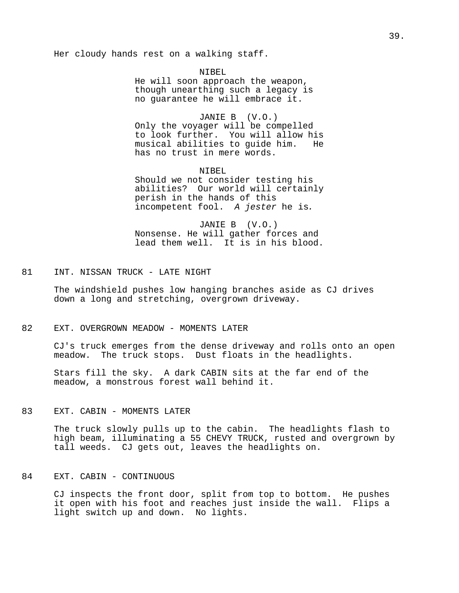### Her cloudy hands rest on a walking staff.

# NIBEL

He will soon approach the weapon, though unearthing such a legacy is no guarantee he will embrace it.

JANIE B (V.O.) Only the voyager will be compelled to look further. You will allow his musical abilities to guide him. He has no trust in mere words.

NIBEL.

Should we not consider testing his abilities? Our world will certainly perish in the hands of this incompetent fool. A jester he is.

JANIE B (V.O.) Nonsense. He will gather forces and lead them well. It is in his blood.

# 81 INT. NISSAN TRUCK - LATE NIGHT

The windshield pushes low hanging branches aside as CJ drives down a long and stretching, overgrown driveway.

#### 82 EXT. OVERGROWN MEADOW - MOMENTS LATER

CJ's truck emerges from the dense driveway and rolls onto an open meadow. The truck stops. Dust floats in the headlights.

Stars fill the sky. A dark CABIN sits at the far end of the meadow, a monstrous forest wall behind it.

### 83 EXT. CABIN - MOMENTS LATER

The truck slowly pulls up to the cabin. The headlights flash to high beam, illuminating a 55 CHEVY TRUCK, rusted and overgrown by tall weeds. CJ gets out, leaves the headlights on.

#### 84 EXT. CABIN - CONTINUOUS

CJ inspects the front door, split from top to bottom. He pushes it open with his foot and reaches just inside the wall. Flips a light switch up and down. No lights.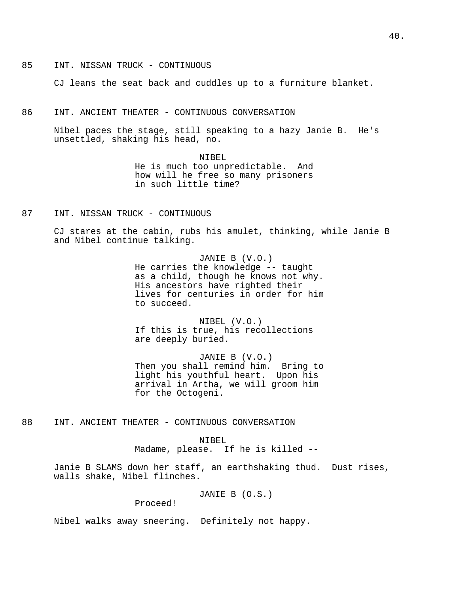85 INT. NISSAN TRUCK - CONTINUOUS

CJ leans the seat back and cuddles up to a furniture blanket.

86 INT. ANCIENT THEATER - CONTINUOUS CONVERSATION

Nibel paces the stage, still speaking to a hazy Janie B. He's unsettled, shaking his head, no.

> NIBEL He is much too unpredictable. And how will he free so many prisoners in such little time?

87 INT. NISSAN TRUCK - CONTINUOUS

CJ stares at the cabin, rubs his amulet, thinking, while Janie B and Nibel continue talking.

> JANIE B (V.O.) He carries the knowledge -- taught as a child, though he knows not why. His ancestors have righted their lives for centuries in order for him to succeed.

NIBEL (V.O.) If this is true, his recollections are deeply buried.

JANIE B (V.O.) Then you shall remind him. Bring to light his youthful heart. Upon his arrival in Artha, we will groom him for the Octogeni.

88 INT. ANCIENT THEATER - CONTINUOUS CONVERSATION

#### NIBEL

Madame, please. If he is killed --

Janie B SLAMS down her staff, an earthshaking thud. Dust rises, walls shake, Nibel flinches.

JANIE B (O.S.)

Proceed!

Nibel walks away sneering. Definitely not happy.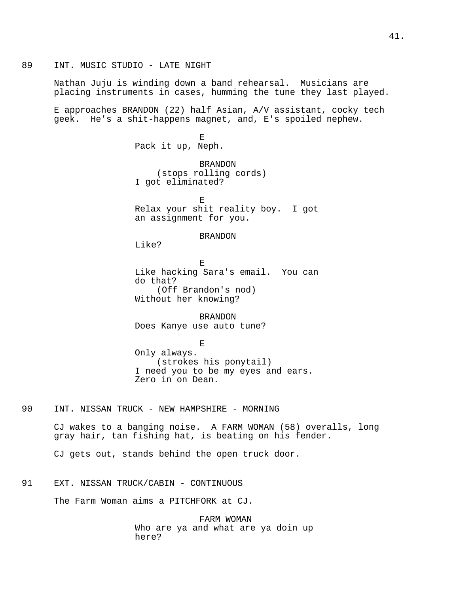89 INT. MUSIC STUDIO - LATE NIGHT

Nathan Juju is winding down a band rehearsal. Musicians are placing instruments in cases, humming the tune they last played.

E approaches BRANDON (22) half Asian, A/V assistant, cocky tech geek. He's a shit-happens magnet, and, E's spoiled nephew.

> E Pack it up, Neph.

BRANDON (stops rolling cords) I got eliminated?

E Relax your shit reality boy. I got an assignment for you.

BRANDON

Like?

E Like hacking Sara's email. You can do that? (Off Brandon's nod) Without her knowing?

BRANDON Does Kanye use auto tune?

E Only always. (strokes his ponytail) I need you to be my eyes and ears. Zero in on Dean.

90 INT. NISSAN TRUCK - NEW HAMPSHIRE - MORNING

CJ wakes to a banging noise. A FARM WOMAN (58) overalls, long gray hair, tan fishing hat, is beating on his fender.

CJ gets out, stands behind the open truck door.

# 91 EXT. NISSAN TRUCK/CABIN - CONTINUOUS

The Farm Woman aims a PITCHFORK at CJ.

FARM WOMAN Who are ya and what are ya doin up here?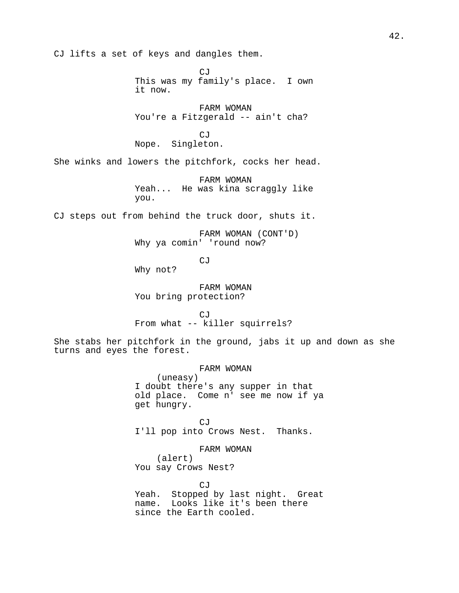CJ lifts a set of keys and dangles them.

CJ This was my family's place. I own it now.

FARM WOMAN You're a Fitzgerald -- ain't cha?

CJ Nope. Singleton.

She winks and lowers the pitchfork, cocks her head.

FARM WOMAN Yeah... He was kina scraggly like you.

CJ steps out from behind the truck door, shuts it.

FARM WOMAN (CONT'D) Why ya comin' 'round now?

CJ

Why not?

FARM WOMAN You bring protection?

 $C<sub>1</sub>$ From what -- killer squirrels?

She stabs her pitchfork in the ground, jabs it up and down as she turns and eyes the forest.

> FARM WOMAN (uneasy) I doubt there's any supper in that old place. Come n' see me now if ya get hungry.

CJ I'll pop into Crows Nest. Thanks.

FARM WOMAN (alert) You say Crows Nest?

CJ Yeah. Stopped by last night. Great name. Looks like it's been there since the Earth cooled.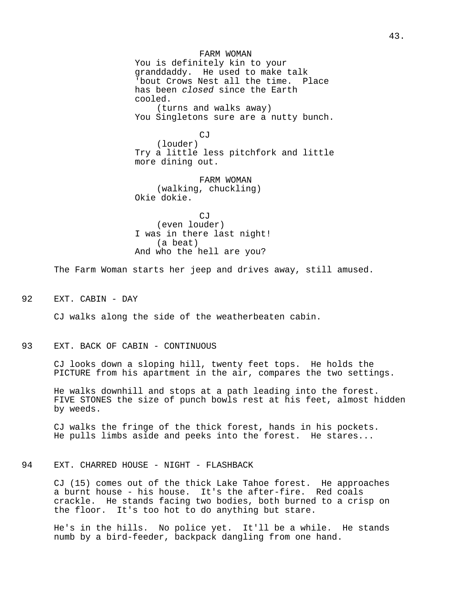FARM WOMAN You is definitely kin to your granddaddy. He used to make talk 'bout Crows Nest all the time. Place has been closed since the Earth cooled. (turns and walks away)

You Singletons sure are a nutty bunch.

 $C.T$ (louder) Try a little less pitchfork and little more dining out.

FARM WOMAN (walking, chuckling) Okie dokie.

 $C_1$ (even louder) I was in there last night! (a beat) And who the hell are you?

The Farm Woman starts her jeep and drives away, still amused.

92 EXT. CABIN - DAY

CJ walks along the side of the weatherbeaten cabin.

### 93 EXT. BACK OF CABIN - CONTINUOUS

CJ looks down a sloping hill, twenty feet tops. He holds the PICTURE from his apartment in the air, compares the two settings.

He walks downhill and stops at a path leading into the forest. FIVE STONES the size of punch bowls rest at his feet, almost hidden by weeds.

CJ walks the fringe of the thick forest, hands in his pockets. He pulls limbs aside and peeks into the forest. He stares...

## 94 EXT. CHARRED HOUSE - NIGHT - FLASHBACK

CJ (15) comes out of the thick Lake Tahoe forest. He approaches a burnt house - his house. It's the after-fire. Red coals crackle. He stands facing two bodies, both burned to a crisp on the floor. It's too hot to do anything but stare.

He's in the hills. No police yet. It'll be a while. He stands numb by a bird-feeder, backpack dangling from one hand.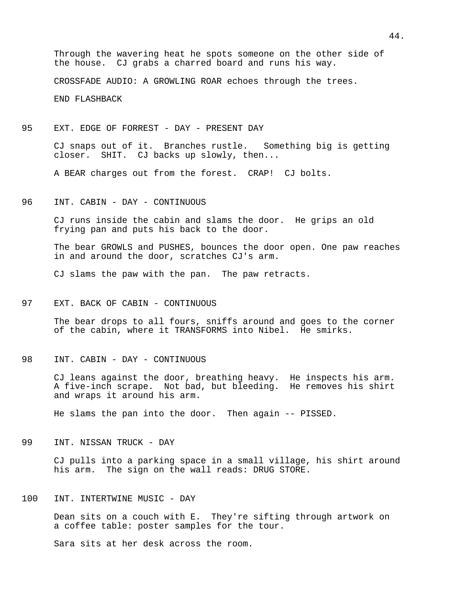Through the wavering heat he spots someone on the other side of the house. CJ grabs a charred board and runs his way.

CROSSFADE AUDIO: A GROWLING ROAR echoes through the trees.

END FLASHBACK

95 EXT. EDGE OF FORREST - DAY - PRESENT DAY

CJ snaps out of it. Branches rustle. Something big is getting closer. SHIT. CJ backs up slowly, then...

A BEAR charges out from the forest. CRAP! CJ bolts.

96 INT. CABIN - DAY - CONTINUOUS

CJ runs inside the cabin and slams the door. He grips an old frying pan and puts his back to the door.

The bear GROWLS and PUSHES, bounces the door open. One paw reaches in and around the door, scratches CJ's arm.

CJ slams the paw with the pan. The paw retracts.

97 EXT. BACK OF CABIN - CONTINUOUS

The bear drops to all fours, sniffs around and goes to the corner of the cabin, where it TRANSFORMS into Nibel. He smirks.

98 INT. CABIN - DAY - CONTINUOUS

CJ leans against the door, breathing heavy. He inspects his arm. A five-inch scrape. Not bad, but bleeding. He removes his shirt and wraps it around his arm.

He slams the pan into the door. Then again -- PISSED.

99 INT. NISSAN TRUCK - DAY

CJ pulls into a parking space in a small village, his shirt around his arm. The sign on the wall reads: DRUG STORE.

100 INT. INTERTWINE MUSIC - DAY

Dean sits on a couch with E. They're sifting through artwork on a coffee table: poster samples for the tour.

Sara sits at her desk across the room.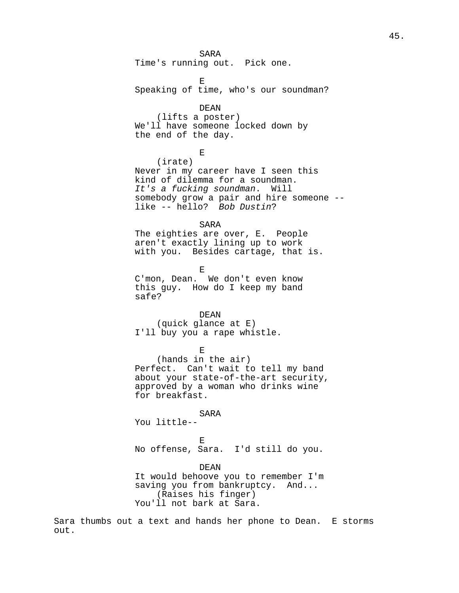SARA Time's running out. Pick one.

E Speaking of time, who's our soundman?

### DEAN

(lifts a poster) We'll have someone locked down by the end of the day.

E

(irate) Never in my career have I seen this kind of dilemma for a soundman. It's a fucking soundman. Will somebody grow a pair and hire someone - like -- hello? Bob Dustin?

#### SARA

The eighties are over, E. People aren't exactly lining up to work with you. Besides cartage, that is.

E

C'mon, Dean. We don't even know this guy. How do I keep my band safe?

### DEAN

(quick glance at E) I'll buy you a rape whistle.

E

(hands in the air) Perfect. Can't wait to tell my band about your state-of-the-art security, approved by a woman who drinks wine for breakfast.

#### **SARA**

You little--

E

No offense, Sara. I'd still do you.

#### DEAN

It would behoove you to remember I'm saving you from bankruptcy. And... (Raises his finger) You'll not bark at Sara.

Sara thumbs out a text and hands her phone to Dean. E storms out.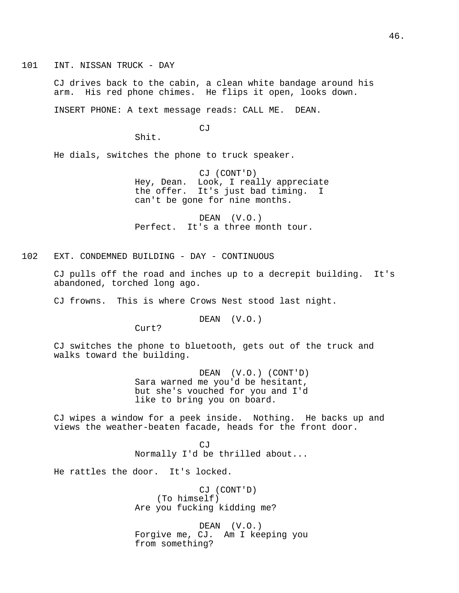101 INT. NISSAN TRUCK - DAY

CJ drives back to the cabin, a clean white bandage around his arm. His red phone chimes. He flips it open, looks down.

INSERT PHONE: A text message reads: CALL ME. DEAN.

CJ

Shit.

He dials, switches the phone to truck speaker.

CJ (CONT'D) Hey, Dean. Look, I really appreciate the offer. It's just bad timing. can't be gone for nine months.

DEAN (V.O.) Perfect. It's a three month tour.

102 EXT. CONDEMNED BUILDING - DAY - CONTINUOUS

CJ pulls off the road and inches up to a decrepit building. It's abandoned, torched long ago.

CJ frowns. This is where Crows Nest stood last night.

DEAN (V.O.)

Curt?

CJ switches the phone to bluetooth, gets out of the truck and walks toward the building.

> DEAN (V.O.) (CONT'D) Sara warned me you'd be hesitant, but she's vouched for you and I'd like to bring you on board.

CJ wipes a window for a peek inside. Nothing. He backs up and views the weather-beaten facade, heads for the front door.

> CJ Normally I'd be thrilled about...

He rattles the door. It's locked.

CJ (CONT'D) (To himself) Are you fucking kidding me?

DEAN (V.O.) Forgive me, CJ. Am I keeping you from something?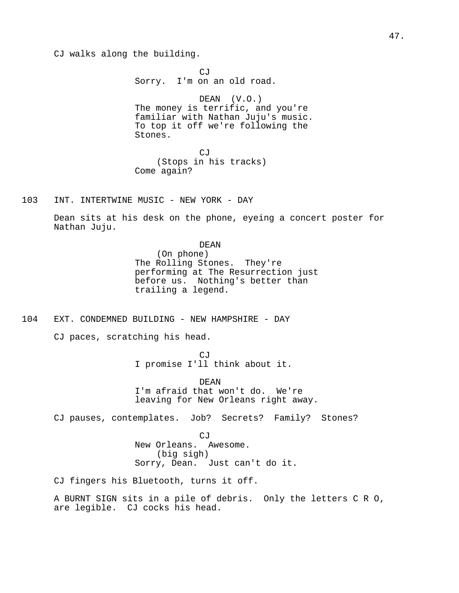CJ walks along the building.

CJ Sorry. I'm on an old road. DEAN (V.O.) The money is terrific, and you're familiar with Nathan Juju's music. To top it off we're following the Stones.

CJ (Stops in his tracks) Come again?

103 INT. INTERTWINE MUSIC - NEW YORK - DAY

Dean sits at his desk on the phone, eyeing a concert poster for Nathan Juju.

> DEAN (On phone) The Rolling Stones. They're performing at The Resurrection just before us. Nothing's better than trailing a legend.

104 EXT. CONDEMNED BUILDING - NEW HAMPSHIRE - DAY

CJ paces, scratching his head.

CJ I promise I'll think about it.

DEAN I'm afraid that won't do. We're leaving for New Orleans right away.

CJ pauses, contemplates. Job? Secrets? Family? Stones?

CJ New Orleans. Awesome. (big sigh) Sorry, Dean. Just can't do it.

CJ fingers his Bluetooth, turns it off.

A BURNT SIGN sits in a pile of debris. Only the letters C R O, are legible. CJ cocks his head.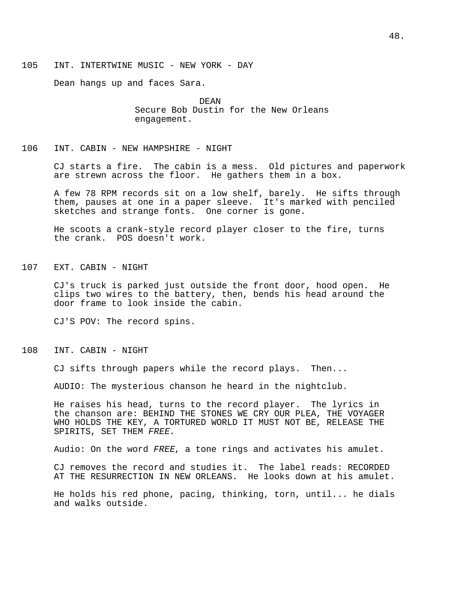Dean hangs up and faces Sara.

DEAN Secure Bob Dustin for the New Orleans engagement.

### 106 INT. CABIN - NEW HAMPSHIRE - NIGHT

CJ starts a fire. The cabin is a mess. Old pictures and paperwork are strewn across the floor. He gathers them in a box.

A few 78 RPM records sit on a low shelf, barely. He sifts through them, pauses at one in a paper sleeve. It's marked with penciled sketches and strange fonts. One corner is gone.

He scoots a crank-style record player closer to the fire, turns the crank. POS doesn't work.

107 EXT. CABIN - NIGHT

CJ's truck is parked just outside the front door, hood open. He clips two wires to the battery, then, bends his head around the door frame to look inside the cabin.

CJ'S POV: The record spins.

108 INT. CABIN - NIGHT

CJ sifts through papers while the record plays. Then...

AUDIO: The mysterious chanson he heard in the nightclub.

He raises his head, turns to the record player. The lyrics in the chanson are: BEHIND THE STONES WE CRY OUR PLEA, THE VOYAGER WHO HOLDS THE KEY, A TORTURED WORLD IT MUST NOT BE, RELEASE THE SPIRITS, SET THEM FREE.

Audio: On the word FREE, a tone rings and activates his amulet.

CJ removes the record and studies it. The label reads: RECORDED AT THE RESURRECTION IN NEW ORLEANS. He looks down at his amulet.

He holds his red phone, pacing, thinking, torn, until... he dials and walks outside.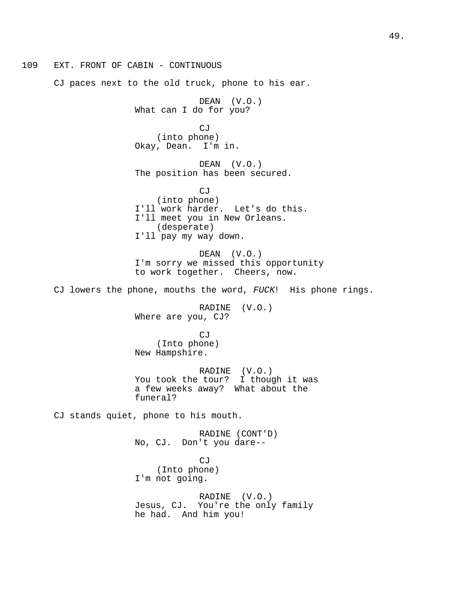109 EXT. FRONT OF CABIN - CONTINUOUS CJ paces next to the old truck, phone to his ear. DEAN (V.O.) What can I do for you? CJ (into phone) Okay, Dean. I'm in. DEAN (V.O.) The position has been secured. CJ (into phone) I'll work harder. Let's do this. I'll meet you in New Orleans. (desperate) I'll pay my way down. DEAN (V.O.) I'm sorry we missed this opportunity to work together. Cheers, now. CJ lowers the phone, mouths the word, FUCK! His phone rings. RADINE (V.O.) Where are you, CJ? CJ (Into phone) New Hampshire. RADINE (V.O.) You took the tour? I though it was a few weeks away? What about the funeral? CJ stands quiet, phone to his mouth. RADINE (CONT'D) No, CJ. Don't you dare-- CJ (Into phone) I'm not going. RADINE (V.O.) Jesus, CJ. You're the only family he had. And him you!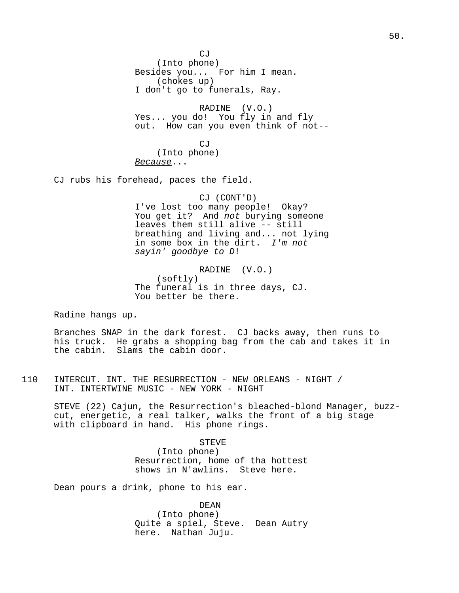$C<sub>i</sub>$ (Into phone) Besides you... For him I mean. (chokes up) I don't go to funerals, Ray.

RADINE (V.O.) Yes... you do! You fly in and fly out. How can you even think of not--

CJ (Into phone) Because...

CJ rubs his forehead, paces the field.

# CJ (CONT'D) I've lost too many people! Okay? You get it? And not burying someone leaves them still alive -- still breathing and living and... not lying in some box in the dirt. I'm not sayin' goodbye to D!

RADINE (V.O.) (softly) The funeral is in three days, CJ. You better be there.

Radine hangs up.

Branches SNAP in the dark forest. CJ backs away, then runs to his truck. He grabs a shopping bag from the cab and takes it in the cabin. Slams the cabin door.

110 INTERCUT. INT. THE RESURRECTION - NEW ORLEANS - NIGHT / INT. INTERTWINE MUSIC - NEW YORK - NIGHT

STEVE (22) Cajun, the Resurrection's bleached-blond Manager, buzzcut, energetic, a real talker, walks the front of a big stage with clipboard in hand. His phone rings.

> STEVE (Into phone) Resurrection, home of tha hottest shows in N'awlins. Steve here.

Dean pours a drink, phone to his ear.

DEAN (Into phone) Quite a spiel, Steve. Dean Autry here. Nathan Juju.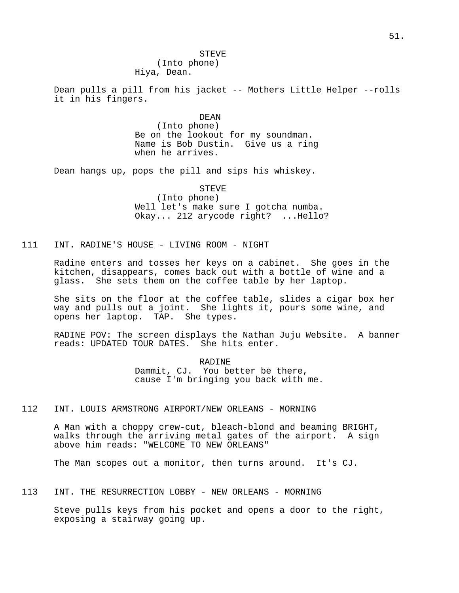STEVE (Into phone)

Hiya, Dean.

Dean pulls a pill from his jacket -- Mothers Little Helper --rolls it in his fingers.

> DEAN (Into phone) Be on the lookout for my soundman. Name is Bob Dustin. Give us a ring when he arrives.

Dean hangs up, pops the pill and sips his whiskey.

STEVE (Into phone) Well let's make sure I gotcha numba. Okay... 212 arycode right? ...Hello?

111 INT. RADINE'S HOUSE - LIVING ROOM - NIGHT

Radine enters and tosses her keys on a cabinet. She goes in the kitchen, disappears, comes back out with a bottle of wine and a glass. She sets them on the coffee table by her laptop.

She sits on the floor at the coffee table, slides a cigar box her way and pulls out a joint. She lights it, pours some wine, and opens her laptop. TAP. She types.

RADINE POV: The screen displays the Nathan Juju Website. A banner reads: UPDATED TOUR DATES. She hits enter.

> RADINE Dammit, CJ. You better be there, cause I'm bringing you back with me.

112 INT. LOUIS ARMSTRONG AIRPORT/NEW ORLEANS - MORNING

A Man with a choppy crew-cut, bleach-blond and beaming BRIGHT, walks through the arriving metal gates of the airport. A sign above him reads: "WELCOME TO NEW ORLEANS"

The Man scopes out a monitor, then turns around. It's CJ.

113 INT. THE RESURRECTION LOBBY - NEW ORLEANS - MORNING

Steve pulls keys from his pocket and opens a door to the right, exposing a stairway going up.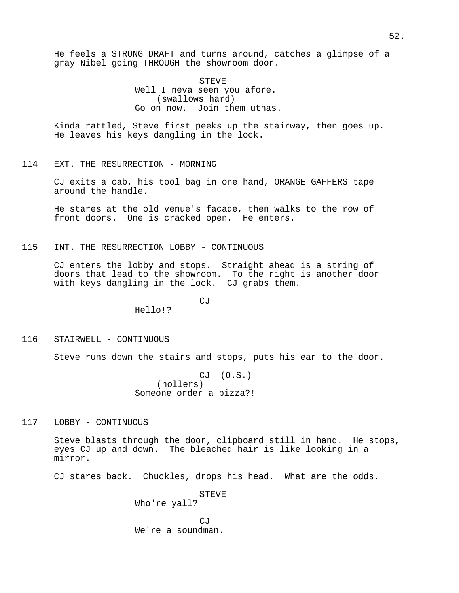He feels a STRONG DRAFT and turns around, catches a glimpse of a gray Nibel going THROUGH the showroom door.

> STEVE Well I neva seen you afore. (swallows hard) Go on now. Join them uthas.

Kinda rattled, Steve first peeks up the stairway, then goes up. He leaves his keys dangling in the lock.

114 EXT. THE RESURRECTION - MORNING

CJ exits a cab, his tool bag in one hand, ORANGE GAFFERS tape around the handle.

He stares at the old venue's facade, then walks to the row of front doors. One is cracked open. He enters.

115 INT. THE RESURRECTION LOBBY - CONTINUOUS

Hello!?

CJ enters the lobby and stops. Straight ahead is a string of doors that lead to the showroom. To the right is another door with keys dangling in the lock. CJ grabs them.

CJ

116 STAIRWELL - CONTINUOUS

Steve runs down the stairs and stops, puts his ear to the door.

CJ (O.S.) (hollers) Someone order a pizza?!

117 LOBBY - CONTINUOUS

Steve blasts through the door, clipboard still in hand. He stops, eyes CJ up and down. The bleached hair is like looking in a mirror.

CJ stares back. Chuckles, drops his head. What are the odds.

STEVE Who're yall?  $C_1$ We're a soundman.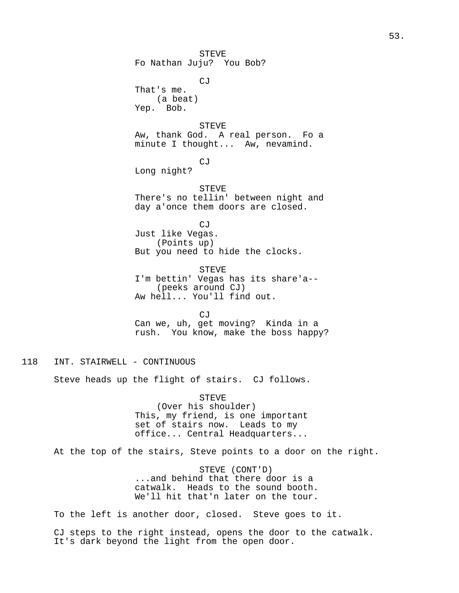STEVE Fo Nathan Juju? You Bob? CJ That's me. (a beat) Yep. Bob. STEVE Aw, thank God. A real person. Fo a minute I thought... Aw, nevamind. CJ Long night? STEVE There's no tellin' between night and day a'once them doors are closed. CJ Just like Vegas. (Points up) But you need to hide the clocks. STEVE I'm bettin' Vegas has its share'a-- (peeks around CJ) Aw hell... You'll find out.  $C_1$ Can we, uh, get moving? Kinda in a rush. You know, make the boss happy?

118 INT. STAIRWELL - CONTINUOUS

Steve heads up the flight of stairs. CJ follows.

STEVE (Over his shoulder) This, my friend, is one important set of stairs now. Leads to my office... Central Headquarters...

At the top of the stairs, Steve points to a door on the right.

STEVE (CONT'D) ...and behind that there door is a catwalk. Heads to the sound booth. We'll hit that'n later on the tour.

To the left is another door, closed. Steve goes to it.

CJ steps to the right instead, opens the door to the catwalk. It's dark beyond the light from the open door.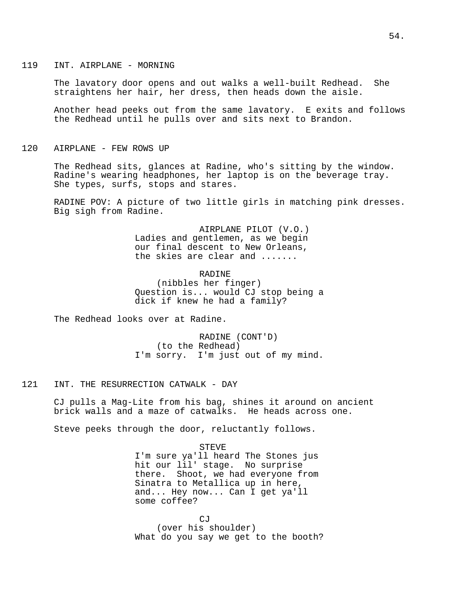### 119 INT. AIRPLANE - MORNING

The lavatory door opens and out walks a well-built Redhead. She straightens her hair, her dress, then heads down the aisle.

Another head peeks out from the same lavatory. E exits and follows the Redhead until he pulls over and sits next to Brandon.

### 120 AIRPLANE - FEW ROWS UP

The Redhead sits, glances at Radine, who's sitting by the window. Radine's wearing headphones, her laptop is on the beverage tray. She types, surfs, stops and stares.

RADINE POV: A picture of two little girls in matching pink dresses. Big sigh from Radine.

> AIRPLANE PILOT (V.O.) Ladies and gentlemen, as we begin our final descent to New Orleans, the skies are clear and .......

#### RADINE

(nibbles her finger) Question is... would CJ stop being a dick if knew he had a family?

The Redhead looks over at Radine.

RADINE (CONT'D) (to the Redhead) I'm sorry. I'm just out of my mind.

### 121 INT. THE RESURRECTION CATWALK - DAY

CJ pulls a Mag-Lite from his bag, shines it around on ancient brick walls and a maze of catwalks. He heads across one.

Steve peeks through the door, reluctantly follows.

## STEVE

I'm sure ya'll heard The Stones jus hit our lil' stage. No surprise there. Shoot, we had everyone from Sinatra to Metallica up in here, and... Hey now... Can I get ya'll some coffee?

CJ (over his shoulder) What do you say we get to the booth?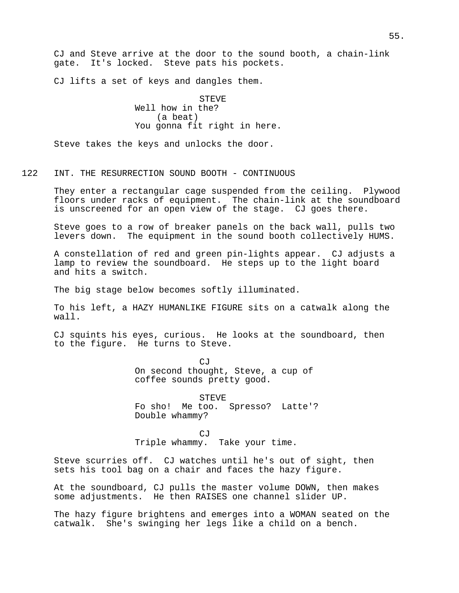CJ and Steve arrive at the door to the sound booth, a chain-link gate. It's locked. Steve pats his pockets.

CJ lifts a set of keys and dangles them.

**STEVE** Well how in the? (a beat) You gonna fit right in here.

Steve takes the keys and unlocks the door.

# 122 INT. THE RESURRECTION SOUND BOOTH - CONTINUOUS

They enter a rectangular cage suspended from the ceiling. Plywood floors under racks of equipment. The chain-link at the soundboard is unscreened for an open view of the stage. CJ goes there.

Steve goes to a row of breaker panels on the back wall, pulls two levers down. The equipment in the sound booth collectively HUMS.

A constellation of red and green pin-lights appear. CJ adjusts a lamp to review the soundboard. He steps up to the light board and hits a switch.

The big stage below becomes softly illuminated.

To his left, a HAZY HUMANLIKE FIGURE sits on a catwalk along the wall.

CJ squints his eyes, curious. He looks at the soundboard, then to the figure. He turns to Steve.

> $C,T$ On second thought, Steve, a cup of coffee sounds pretty good.

STEVE Fo sho! Me too. Spresso? Latte'? Double whammy?

CJ Triple whammy. Take your time.

Steve scurries off. CJ watches until he's out of sight, then sets his tool bag on a chair and faces the hazy figure.

At the soundboard, CJ pulls the master volume DOWN, then makes some adjustments. He then RAISES one channel slider UP.

The hazy figure brightens and emerges into a WOMAN seated on the catwalk. She's swinging her legs like a child on a bench.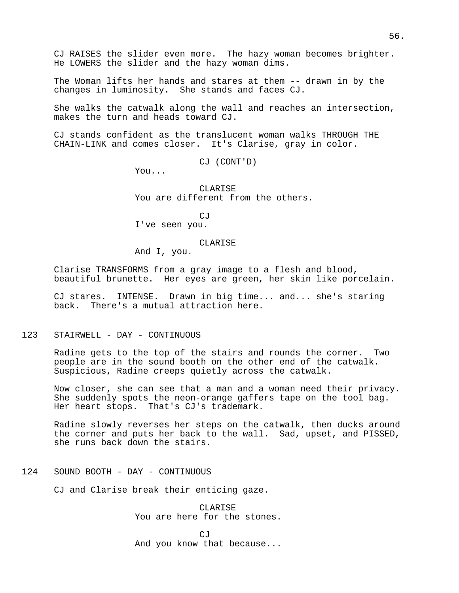CJ RAISES the slider even more. The hazy woman becomes brighter. He LOWERS the slider and the hazy woman dims.

The Woman lifts her hands and stares at them -- drawn in by the changes in luminosity. She stands and faces CJ.

She walks the catwalk along the wall and reaches an intersection, makes the turn and heads toward CJ.

CJ stands confident as the translucent woman walks THROUGH THE CHAIN-LINK and comes closer. It's Clarise, gray in color.

CJ (CONT'D)

You...

CLARISE You are different from the others.

 $C<sub>1</sub>T$ 

I've seen you.

#### CLARISE

And I, you.

Clarise TRANSFORMS from a gray image to a flesh and blood, beautiful brunette. Her eyes are green, her skin like porcelain.

CJ stares. INTENSE. Drawn in big time... and... she's staring back. There's a mutual attraction here.

123 STAIRWELL - DAY - CONTINUOUS

Radine gets to the top of the stairs and rounds the corner. Two people are in the sound booth on the other end of the catwalk. Suspicious, Radine creeps quietly across the catwalk.

Now closer, she can see that a man and a woman need their privacy. She suddenly spots the neon-orange gaffers tape on the tool bag. Her heart stops. That's CJ's trademark.

Radine slowly reverses her steps on the catwalk, then ducks around the corner and puts her back to the wall. Sad, upset, and PISSED, she runs back down the stairs.

124 SOUND BOOTH - DAY - CONTINUOUS

CJ and Clarise break their enticing gaze.

CLARISE You are here for the stones.

 $C<sub>1</sub>$ And you know that because...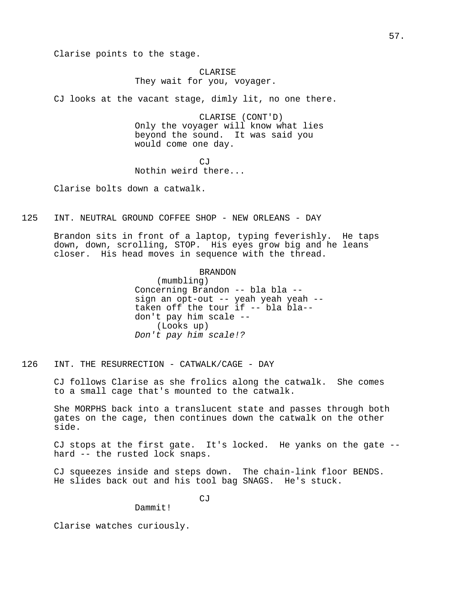Clarise points to the stage.

# CLARISE They wait for you, voyager.

CJ looks at the vacant stage, dimly lit, no one there.

CLARISE (CONT'D) Only the voyager will know what lies beyond the sound. It was said you would come one day.

CJ Nothin weird there...

Clarise bolts down a catwalk.

125 INT. NEUTRAL GROUND COFFEE SHOP - NEW ORLEANS - DAY

Brandon sits in front of a laptop, typing feverishly. He taps down, down, scrolling, STOP. His eyes grow big and he leans closer. His head moves in sequence with the thread.

### BRANDON

(mumbling) Concerning Brandon -- bla bla - sign an opt-out -- yeah yeah yeah - taken off the tour if -- bla bla- don't pay him scale -- (Looks up) Don't pay him scale!?

126 INT. THE RESURRECTION - CATWALK/CAGE - DAY

CJ follows Clarise as she frolics along the catwalk. She comes to a small cage that's mounted to the catwalk.

She MORPHS back into a translucent state and passes through both gates on the cage, then continues down the catwalk on the other side.

CJ stops at the first gate. It's locked. He yanks on the gate - hard -- the rusted lock snaps.

CJ squeezes inside and steps down. The chain-link floor BENDS. He slides back out and his tool bag SNAGS. He's stuck.

CJ

Dammit!

Clarise watches curiously.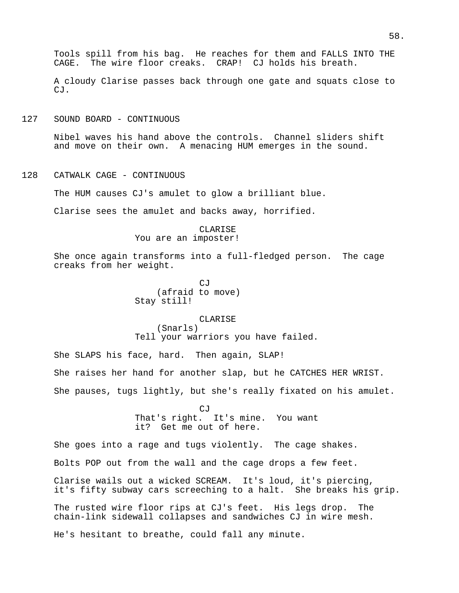A cloudy Clarise passes back through one gate and squats close to CJ.

127 SOUND BOARD - CONTINUOUS

Nibel waves his hand above the controls. Channel sliders shift and move on their own. A menacing HUM emerges in the sound.

128 CATWALK CAGE - CONTINUOUS

The HUM causes CJ's amulet to glow a brilliant blue.

Clarise sees the amulet and backs away, horrified.

### CLARISE

You are an imposter!

She once again transforms into a full-fledged person. The cage creaks from her weight.

> $C.T$ (afraid to move) Stay still!

#### CLARISE

(Snarls) Tell your warriors you have failed.

She SLAPS his face, hard. Then again, SLAP! She raises her hand for another slap, but he CATCHES HER WRIST. She pauses, tugs lightly, but she's really fixated on his amulet.

> $C<sub>i</sub>$ T That's right. It's mine. You want it? Get me out of here.

She goes into a rage and tugs violently. The cage shakes. Bolts POP out from the wall and the cage drops a few feet. Clarise wails out a wicked SCREAM. It's loud, it's piercing, it's fifty subway cars screeching to a halt. She breaks his grip. The rusted wire floor rips at CJ's feet. His legs drop. The chain-link sidewall collapses and sandwiches CJ in wire mesh. He's hesitant to breathe, could fall any minute.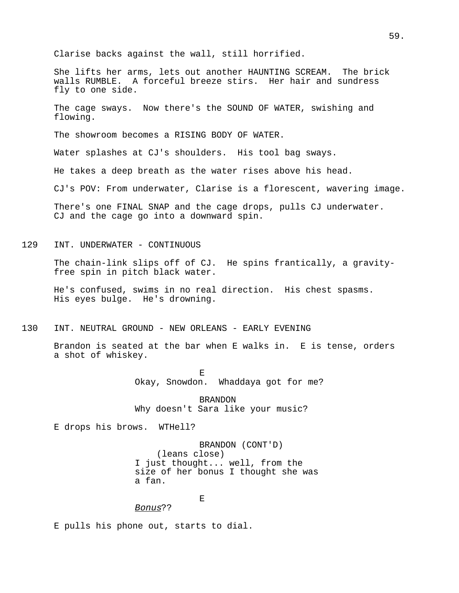Clarise backs against the wall, still horrified.

She lifts her arms, lets out another HAUNTING SCREAM. The brick walls RUMBLE. A forceful breeze stirs. Her hair and sundress fly to one side.

The cage sways. Now there's the SOUND OF WATER, swishing and flowing.

The showroom becomes a RISING BODY OF WATER.

Water splashes at CJ's shoulders. His tool bag sways.

He takes a deep breath as the water rises above his head.

CJ's POV: From underwater, Clarise is a florescent, wavering image.

There's one FINAL SNAP and the cage drops, pulls CJ underwater. CJ and the cage go into a downward spin.

129 INT. UNDERWATER - CONTINUOUS

The chain-link slips off of CJ. He spins frantically, a gravityfree spin in pitch black water.

He's confused, swims in no real direction. His chest spasms. His eyes bulge. He's drowning.

130 INT. NEUTRAL GROUND - NEW ORLEANS - EARLY EVENING

Brandon is seated at the bar when E walks in. E is tense, orders a shot of whiskey.

> E<br>Okay, Snowdon. Whaddaya got for me?

BRANDON Why doesn't Sara like your music?

E drops his brows. WTHell?

BRANDON (CONT'D) (leans close) I just thought... well, from the size of her bonus I thought she was a fan.

# E

Bonus??

E pulls his phone out, starts to dial.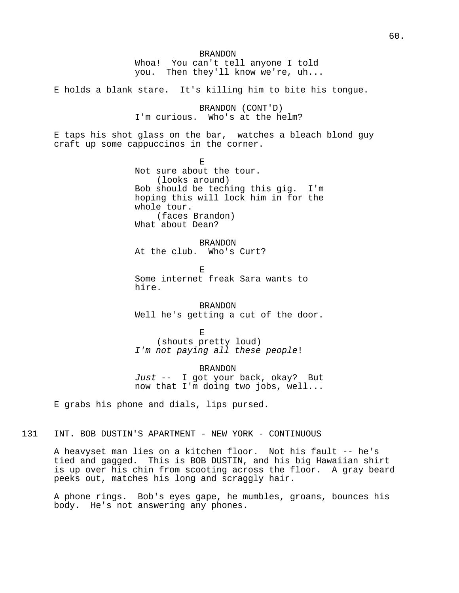BRANDON Whoa! You can't tell anyone I told you. Then they'll know we're, uh... E holds a blank stare. It's killing him to bite his tongue. BRANDON (CONT'D) I'm curious. Who's at the helm? E taps his shot glass on the bar, watches a bleach blond guy craft up some cappuccinos in the corner. E Not sure about the tour. (looks around) Bob should be teching this gig. I'm hoping this will lock him in for the whole tour. (faces Brandon) What about Dean? BRANDON At the club. Who's Curt? E Some internet freak Sara wants to hire. BRANDON Well he's getting a cut of the door. E (shouts pretty loud) I'm not paying all these people! BRANDON Just -- I got your back, okay? But now that I'm doing two jobs, well... E grabs his phone and dials, lips pursed. 131 INT. BOB DUSTIN'S APARTMENT - NEW YORK - CONTINUOUS

A heavyset man lies on a kitchen floor. Not his fault -- he's tied and gagged. This is BOB DUSTIN, and his big Hawaiian shirt is up over his chin from scooting across the floor. A gray beard peeks out, matches his long and scraggly hair.

A phone rings. Bob's eyes gape, he mumbles, groans, bounces his body. He's not answering any phones.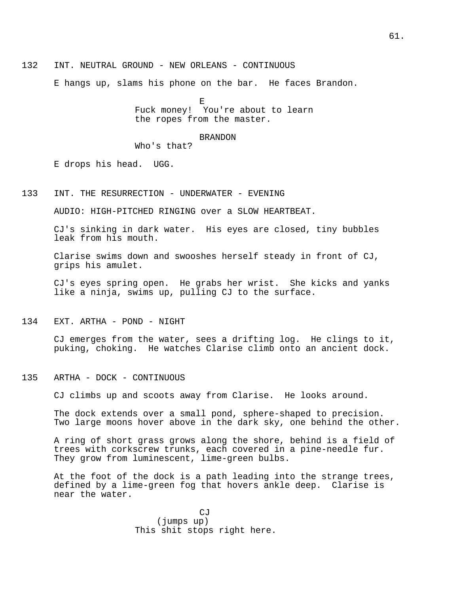132 INT. NEUTRAL GROUND - NEW ORLEANS - CONTINUOUS

E hangs up, slams his phone on the bar. He faces Brandon.

E Fuck money! You're about to learn the ropes from the master.

#### BRANDON

Who's that?

E drops his head. UGG.

133 INT. THE RESURRECTION - UNDERWATER - EVENING

AUDIO: HIGH-PITCHED RINGING over a SLOW HEARTBEAT.

CJ's sinking in dark water. His eyes are closed, tiny bubbles leak from his mouth.

Clarise swims down and swooshes herself steady in front of CJ, grips his amulet.

CJ's eyes spring open. He grabs her wrist. She kicks and yanks like a ninja, swims up, pulling CJ to the surface.

134 EXT. ARTHA - POND - NIGHT

CJ emerges from the water, sees a drifting log. He clings to it, puking, choking. He watches Clarise climb onto an ancient dock.

135 ARTHA - DOCK - CONTINUOUS

CJ climbs up and scoots away from Clarise. He looks around.

The dock extends over a small pond, sphere-shaped to precision. Two large moons hover above in the dark sky, one behind the other.

A ring of short grass grows along the shore, behind is a field of trees with corkscrew trunks, each covered in a pine-needle fur. They grow from luminescent, lime-green bulbs.

At the foot of the dock is a path leading into the strange trees, defined by a lime-green fog that hovers ankle deep. Clarise is near the water.

> $C<sub>1</sub>T$ (jumps up) This shit stops right here.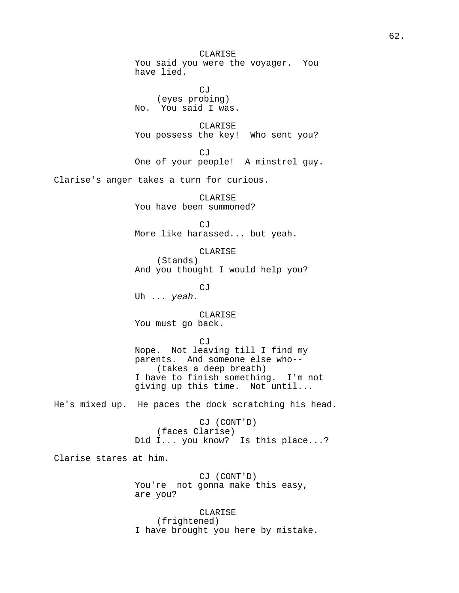CLARISE You said you were the voyager. You have lied.

CJ (eyes probing) No. You said I was.

CLARISE You possess the key! Who sent you?

CJ One of your people! A minstrel guy.

Clarise's anger takes a turn for curious.

CLARISE You have been summoned?

CJ More like harassed... but yeah.

CLARISE (Stands) And you thought I would help you?

CJ Uh ... yeah.

CLARISE You must go back.

CJ

Nope. Not leaving till I find my parents. And someone else who-- (takes a deep breath) I have to finish something. I'm not giving up this time. Not until...

He's mixed up. He paces the dock scratching his head.

CJ (CONT'D) (faces Clarise) Did I... you know? Is this place...?

Clarise stares at him.

CJ (CONT'D) You're not gonna make this easy, are you?

CLARISE (frightened) I have brought you here by mistake.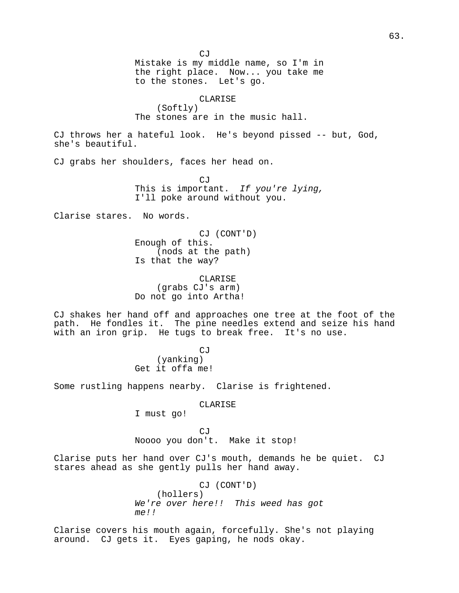CJ Mistake is my middle name, so I'm in the right place. Now... you take me to the stones. Let's go. CLARISE (Softly) The stones are in the music hall. CJ throws her a hateful look. He's beyond pissed -- but, God, she's beautiful. CJ grabs her shoulders, faces her head on. CJ This is important. If you're lying, I'll poke around without you. Clarise stares. No words. CJ (CONT'D) Enough of this. (nods at the path) Is that the way? CLARISE (grabs CJ's arm) Do not go into Artha! CJ shakes her hand off and approaches one tree at the foot of the path. He fondles it. The pine needles extend and seize his hand with an iron grip. He tugs to break free. It's no use. CJ (yanking) Get it offa me! Some rustling happens nearby. Clarise is frightened. CLARISE I must go! CJ Noooo you don't. Make it stop! Clarise puts her hand over CJ's mouth, demands he be quiet. CJ stares ahead as she gently pulls her hand away.

CJ (CONT'D) (hollers) We're over here!! This weed has got  $m \rho$ !!

Clarise covers his mouth again, forcefully. She's not playing around. CJ gets it. Eyes gaping, he nods okay.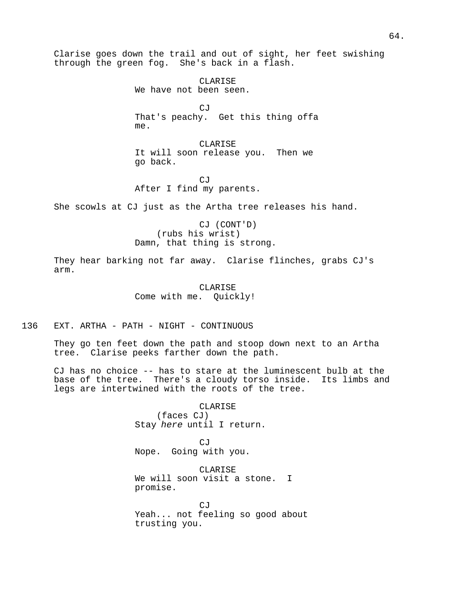Clarise goes down the trail and out of sight, her feet swishing through the green fog. She's back in a flash.

> CLARISE We have not been seen.

CJ That's peachy. Get this thing offa me.

CLARISE It will soon release you. Then we go back.

CJ After I find my parents.

She scowls at CJ just as the Artha tree releases his hand.

CJ (CONT'D) (rubs his wrist) Damn, that thing is strong.

They hear barking not far away. Clarise flinches, grabs CJ's arm.

> CLARISE Come with me. Quickly!

136 EXT. ARTHA - PATH - NIGHT - CONTINUOUS

They go ten feet down the path and stoop down next to an Artha tree. Clarise peeks farther down the path.

CJ has no choice -- has to stare at the luminescent bulb at the base of the tree. There's a cloudy torso inside. Its limbs and legs are intertwined with the roots of the tree.

> CLARISE (faces CJ) Stay here until I return.

CJ Nope. Going with you.

CLARISE We will soon visit a stone. I promise.

CJ Yeah... not feeling so good about trusting you.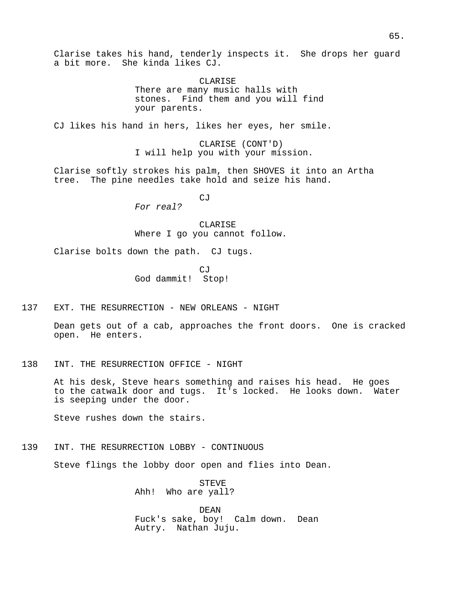Clarise takes his hand, tenderly inspects it. She drops her guard a bit more. She kinda likes CJ.

> CLARISE There are many music halls with stones. Find them and you will find your parents.

CJ likes his hand in hers, likes her eyes, her smile.

CLARISE (CONT'D) I will help you with your mission.

Clarise softly strokes his palm, then SHOVES it into an Artha tree. The pine needles take hold and seize his hand.

CJ

For real?

CLARISE Where I go you cannot follow.

Clarise bolts down the path. CJ tugs.

CJ God dammit! Stop!

137 EXT. THE RESURRECTION - NEW ORLEANS - NIGHT

Dean gets out of a cab, approaches the front doors. One is cracked open. He enters.

138 INT. THE RESURRECTION OFFICE - NIGHT

At his desk, Steve hears something and raises his head. He goes to the catwalk door and tugs. It's locked. He looks down. Water is seeping under the door.

Steve rushes down the stairs.

139 INT. THE RESURRECTION LOBBY - CONTINUOUS

Steve flings the lobby door open and flies into Dean.

STEVE Ahh! Who are yall?

DEAN Fuck's sake, boy! Calm down. Dean Autry. Nathan Juju.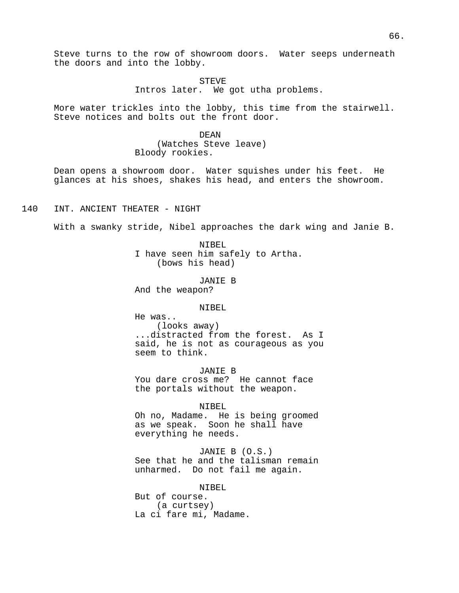Steve turns to the row of showroom doors. Water seeps underneath the doors and into the lobby.

> STEVE Intros later. We got utha problems.

More water trickles into the lobby, this time from the stairwell. Steve notices and bolts out the front door.

> DEAN (Watches Steve leave) Bloody rookies.

Dean opens a showroom door. Water squishes under his feet. He glances at his shoes, shakes his head, and enters the showroom.

140 INT. ANCIENT THEATER - NIGHT

With a swanky stride, Nibel approaches the dark wing and Janie B.

NIBEL I have seen him safely to Artha. (bows his head)

JANIE B

And the weapon?

NIBEL

He was.. (looks away) ...distracted from the forest. As I said, he is not as courageous as you seem to think.

JANIE B You dare cross me? He cannot face the portals without the weapon.

NIBEL

Oh no, Madame. He is being groomed as we speak. Soon he shall have everything he needs.

JANIE B (O.S.) See that he and the talisman remain unharmed. Do not fail me again.

NIBEL But of course. (a curtsey) La ci fare mi, Madame.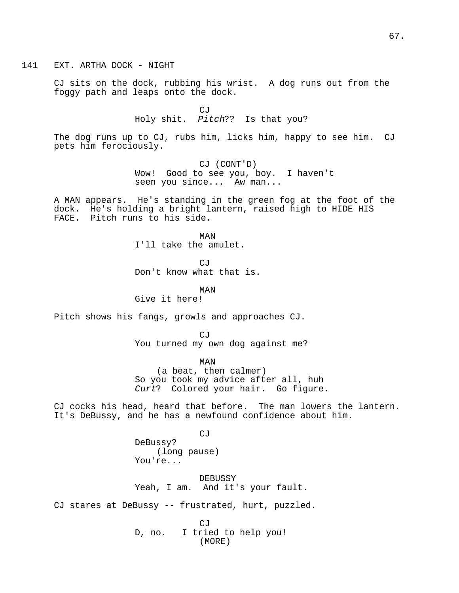141 EXT. ARTHA DOCK - NIGHT

CJ sits on the dock, rubbing his wrist. A dog runs out from the foggy path and leaps onto the dock.

> CJ Holy shit. Pitch?? Is that you?

The dog runs up to CJ, rubs him, licks him, happy to see him. CJ pets him ferociously.

> CJ (CONT'D) Wow! Good to see you, boy. I haven't seen you since... Aw man...

A MAN appears. He's standing in the green fog at the foot of the dock. He's holding a bright lantern, raised high to HIDE HIS FACE. Pitch runs to his side.

> MAN I'll take the amulet.

CJ Don't know what that is.

MAN Give it here!

Pitch shows his fangs, growls and approaches CJ.

CJ You turned my own dog against me?

MAN (a beat, then calmer) So you took my advice after all, huh Curt? Colored your hair. Go figure.

CJ cocks his head, heard that before. The man lowers the lantern. It's DeBussy, and he has a newfound confidence about him.

CJ

DeBussy? (long pause) You're...

DEBUSSY Yeah, I am. And it's your fault.

CJ stares at DeBussy -- frustrated, hurt, puzzled.

CJ D, no. I tried to help you! (MORE)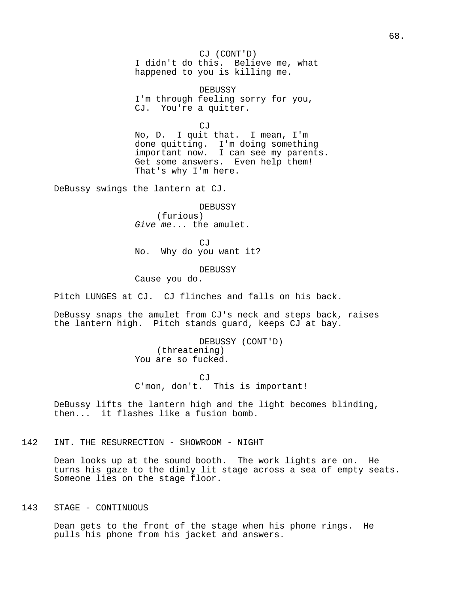CJ (CONT'D) I didn't do this. Believe me, what happened to you is killing me.

DEBUSSY I'm through feeling sorry for you, CJ. You're a quitter.

CJ

No, D. I quit that. I mean, I'm done quitting. I'm doing something important now. I can see my parents. Get some answers. Even help them! That's why I'm here.

DeBussy swings the lantern at CJ.

DEBUSSY (furious) Give me... the amulet.

CJ No. Why do you want it?

DEBUSSY

Cause you do.

Pitch LUNGES at CJ. CJ flinches and falls on his back.

DeBussy snaps the amulet from CJ's neck and steps back, raises the lantern high. Pitch stands guard, keeps CJ at bay.

> DEBUSSY (CONT'D) (threatening) You are so fucked.

CJ C'mon, don't. This is important!

DeBussy lifts the lantern high and the light becomes blinding, then... it flashes like a fusion bomb.

142 INT. THE RESURRECTION - SHOWROOM - NIGHT

Dean looks up at the sound booth. The work lights are on. He turns his gaze to the dimly lit stage across a sea of empty seats. Someone lies on the stage floor.

143 STAGE - CONTINUOUS

Dean gets to the front of the stage when his phone rings. He pulls his phone from his jacket and answers.